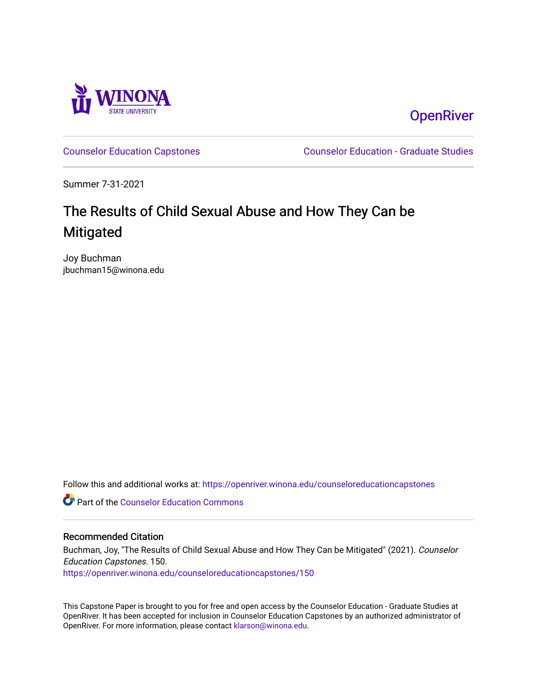

**OpenRiver** 

[Counselor Education Capstones](https://openriver.winona.edu/counseloreducationcapstones) [Counselor Education - Graduate Studies](https://openriver.winona.edu/counseloreducation) 

Summer 7-31-2021

# The Results of Child Sexual Abuse and How They Can be **Mitigated**

Joy Buchman jbuchman15@winona.edu

Follow this and additional works at: [https://openriver.winona.edu/counseloreducationcapstones](https://openriver.winona.edu/counseloreducationcapstones?utm_source=openriver.winona.edu%2Fcounseloreducationcapstones%2F150&utm_medium=PDF&utm_campaign=PDFCoverPages)

**C** Part of the Counselor Education Commons

#### Recommended Citation

Buchman, Joy, "The Results of Child Sexual Abuse and How They Can be Mitigated" (2021). Counselor Education Capstones. 150.

[https://openriver.winona.edu/counseloreducationcapstones/150](https://openriver.winona.edu/counseloreducationcapstones/150?utm_source=openriver.winona.edu%2Fcounseloreducationcapstones%2F150&utm_medium=PDF&utm_campaign=PDFCoverPages)

This Capstone Paper is brought to you for free and open access by the Counselor Education - Graduate Studies at OpenRiver. It has been accepted for inclusion in Counselor Education Capstones by an authorized administrator of OpenRiver. For more information, please contact [klarson@winona.edu](mailto:klarson@winona.edu).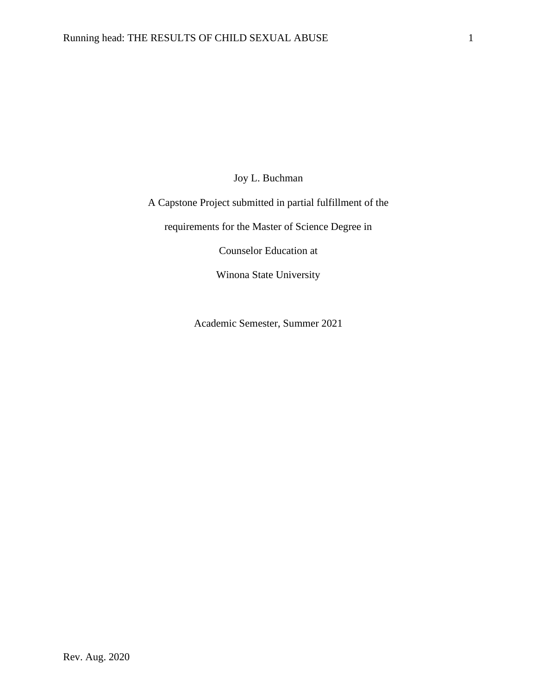Joy L. Buchman

A Capstone Project submitted in partial fulfillment of the

requirements for the Master of Science Degree in

Counselor Education at

Winona State University

Academic Semester, Summer 2021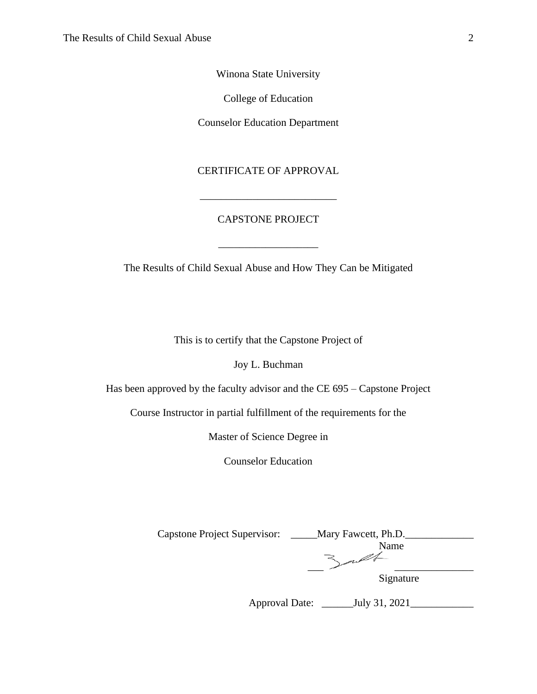Winona State University

College of Education

Counselor Education Department

CERTIFICATE OF APPROVAL

## CAPSTONE PROJECT

\_\_\_\_\_\_\_\_\_\_\_\_\_\_\_\_\_\_\_

The Results of Child Sexual Abuse and How They Can be Mitigated

This is to certify that the Capstone Project of

Joy L. Buchman

Has been approved by the faculty advisor and the CE 695 – Capstone Project

Course Instructor in partial fulfillment of the requirements for the

Master of Science Degree in

Counselor Education

| <b>Capstone Project Supervisor:</b> | Mary Fawcett, Ph.D. |
|-------------------------------------|---------------------|
|                                     | Name                |
|                                     |                     |
|                                     | Signature           |

Approval Date: \_\_\_\_\_\_July 31, 2021\_\_\_\_\_\_\_\_\_\_\_\_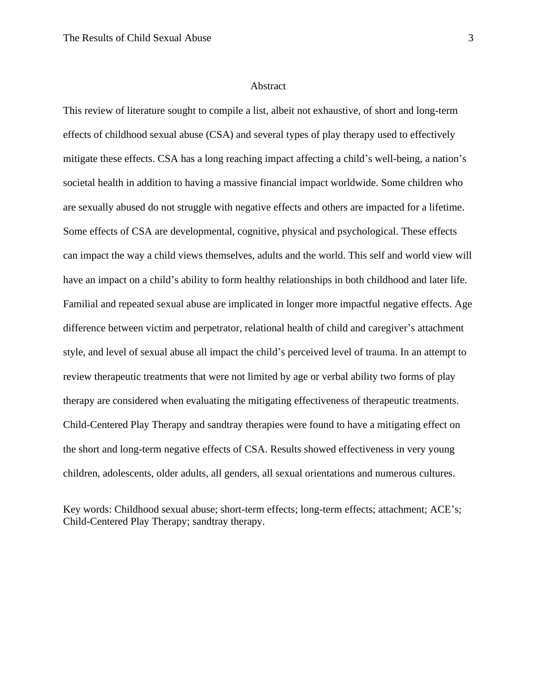#### Abstract

This review of literature sought to compile a list, albeit not exhaustive, of short and long-term effects of childhood sexual abuse (CSA) and several types of play therapy used to effectively mitigate these effects. CSA has a long reaching impact affecting a child's well-being, a nation's societal health in addition to having a massive financial impact worldwide. Some children who are sexually abused do not struggle with negative effects and others are impacted for a lifetime. Some effects of CSA are developmental, cognitive, physical and psychological. These effects can impact the way a child views themselves, adults and the world. This self and world view will have an impact on a child's ability to form healthy relationships in both childhood and later life. Familial and repeated sexual abuse are implicated in longer more impactful negative effects. Age difference between victim and perpetrator, relational health of child and caregiver's attachment style, and level of sexual abuse all impact the child's perceived level of trauma. In an attempt to review therapeutic treatments that were not limited by age or verbal ability two forms of play therapy are considered when evaluating the mitigating effectiveness of therapeutic treatments. Child-Centered Play Therapy and sandtray therapies were found to have a mitigating effect on the short and long-term negative effects of CSA. Results showed effectiveness in very young children, adolescents, older adults, all genders, all sexual orientations and numerous cultures.

Key words: Childhood sexual abuse; short-term effects; long-term effects; attachment; ACE's; Child-Centered Play Therapy; sandtray therapy.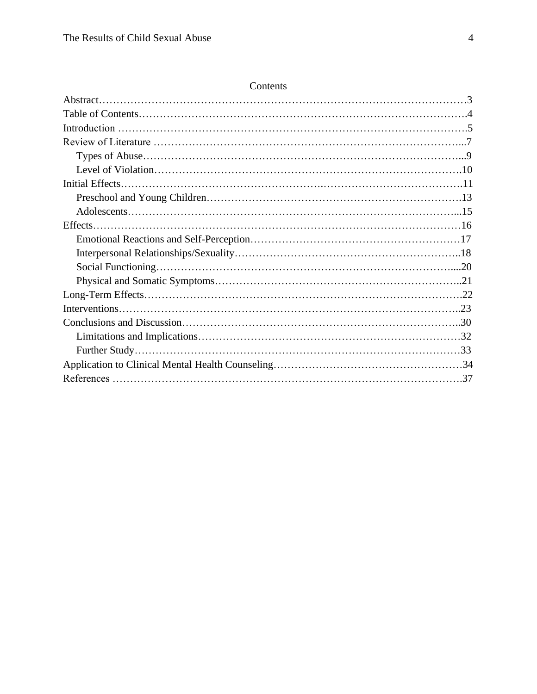| Contents |
|----------|
|----------|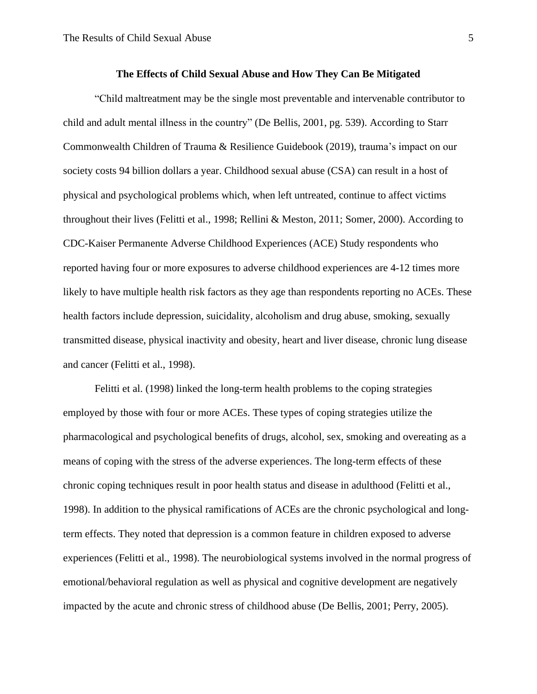#### **The Effects of Child Sexual Abuse and How They Can Be Mitigated**

"Child maltreatment may be the single most preventable and intervenable contributor to child and adult mental illness in the country" (De Bellis, 2001, pg. 539). According to Starr Commonwealth Children of Trauma & Resilience Guidebook (2019), trauma's impact on our society costs 94 billion dollars a year. Childhood sexual abuse (CSA) can result in a host of physical and psychological problems which, when left untreated, continue to affect victims throughout their lives (Felitti et al., 1998; Rellini & Meston, 2011; Somer, 2000). According to CDC-Kaiser Permanente Adverse Childhood Experiences (ACE) Study respondents who reported having four or more exposures to adverse childhood experiences are 4-12 times more likely to have multiple health risk factors as they age than respondents reporting no ACEs. These health factors include depression, suicidality, alcoholism and drug abuse, smoking, sexually transmitted disease, physical inactivity and obesity, heart and liver disease, chronic lung disease and cancer (Felitti et al., 1998).

Felitti et al. (1998) linked the long-term health problems to the coping strategies employed by those with four or more ACEs. These types of coping strategies utilize the pharmacological and psychological benefits of drugs, alcohol, sex, smoking and overeating as a means of coping with the stress of the adverse experiences. The long-term effects of these chronic coping techniques result in poor health status and disease in adulthood (Felitti et al., 1998). In addition to the physical ramifications of ACEs are the chronic psychological and longterm effects. They noted that depression is a common feature in children exposed to adverse experiences (Felitti et al., 1998). The neurobiological systems involved in the normal progress of emotional/behavioral regulation as well as physical and cognitive development are negatively impacted by the acute and chronic stress of childhood abuse (De Bellis, 2001; Perry, 2005).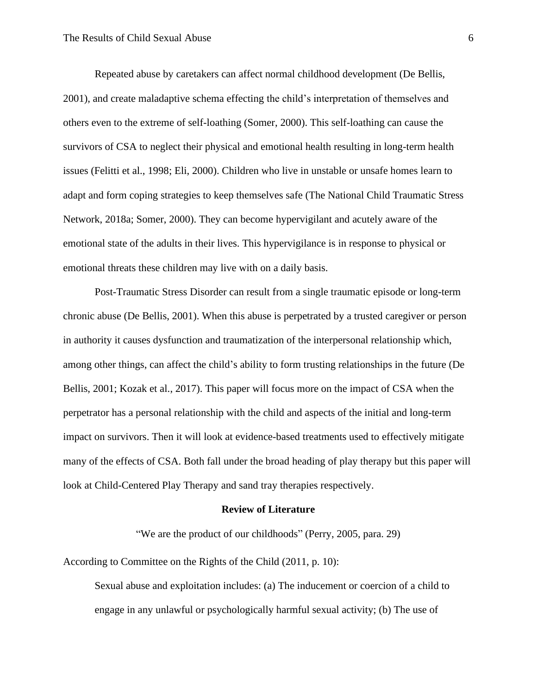Repeated abuse by caretakers can affect normal childhood development (De Bellis, 2001), and create maladaptive schema effecting the child's interpretation of themselves and others even to the extreme of self-loathing (Somer, 2000). This self-loathing can cause the survivors of CSA to neglect their physical and emotional health resulting in long-term health issues (Felitti et al., 1998; Eli, 2000). Children who live in unstable or unsafe homes learn to adapt and form coping strategies to keep themselves safe (The National Child Traumatic Stress Network, 2018a; Somer, 2000). They can become hypervigilant and acutely aware of the emotional state of the adults in their lives. This hypervigilance is in response to physical or emotional threats these children may live with on a daily basis.

Post-Traumatic Stress Disorder can result from a single traumatic episode or long-term chronic abuse (De Bellis, 2001). When this abuse is perpetrated by a trusted caregiver or person in authority it causes dysfunction and traumatization of the interpersonal relationship which, among other things, can affect the child's ability to form trusting relationships in the future (De Bellis, 2001; Kozak et al., 2017). This paper will focus more on the impact of CSA when the perpetrator has a personal relationship with the child and aspects of the initial and long-term impact on survivors. Then it will look at evidence-based treatments used to effectively mitigate many of the effects of CSA. Both fall under the broad heading of play therapy but this paper will look at Child-Centered Play Therapy and sand tray therapies respectively.

#### **Review of Literature**

"We are the product of our childhoods" (Perry, 2005, para. 29)

According to Committee on the Rights of the Child (2011, p. 10):

Sexual abuse and exploitation includes: (a) The inducement or coercion of a child to engage in any unlawful or psychologically harmful sexual activity; (b) The use of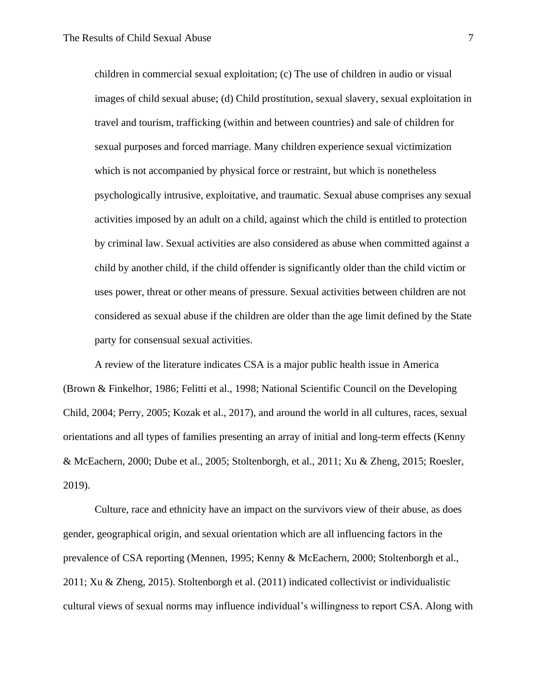children in commercial sexual exploitation; (c) The use of children in audio or visual images of child sexual abuse; (d) Child prostitution, sexual slavery, sexual exploitation in travel and tourism, trafficking (within and between countries) and sale of children for sexual purposes and forced marriage. Many children experience sexual victimization which is not accompanied by physical force or restraint, but which is nonetheless psychologically intrusive, exploitative, and traumatic. Sexual abuse comprises any sexual activities imposed by an adult on a child, against which the child is entitled to protection by criminal law. Sexual activities are also considered as abuse when committed against a child by another child, if the child offender is significantly older than the child victim or uses power, threat or other means of pressure. Sexual activities between children are not considered as sexual abuse if the children are older than the age limit defined by the State party for consensual sexual activities.

A review of the literature indicates CSA is a major public health issue in America (Brown & Finkelhor, 1986; Felitti et al., 1998; National Scientific Council on the Developing Child, 2004; Perry, 2005; Kozak et al., 2017), and around the world in all cultures, races, sexual orientations and all types of families presenting an array of initial and long-term effects (Kenny & McEachern, 2000; Dube et al., 2005; Stoltenborgh, et al., 2011; Xu & Zheng, 2015; Roesler, 2019).

Culture, race and ethnicity have an impact on the survivors view of their abuse, as does gender, geographical origin, and sexual orientation which are all influencing factors in the prevalence of CSA reporting (Mennen, 1995; Kenny & McEachern, 2000; Stoltenborgh et al., 2011; Xu & Zheng, 2015). Stoltenborgh et al. (2011) indicated collectivist or individualistic cultural views of sexual norms may influence individual's willingness to report CSA. Along with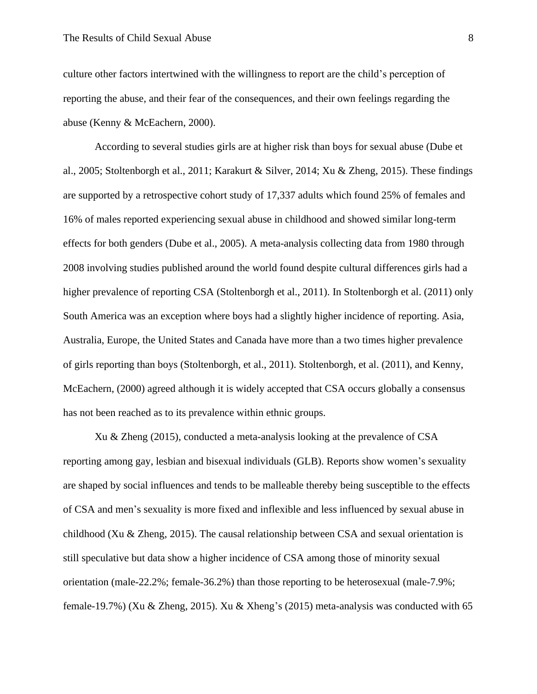culture other factors intertwined with the willingness to report are the child's perception of reporting the abuse, and their fear of the consequences, and their own feelings regarding the abuse (Kenny & McEachern, 2000).

According to several studies girls are at higher risk than boys for sexual abuse (Dube et al., 2005; Stoltenborgh et al., 2011; Karakurt & Silver, 2014; Xu & Zheng, 2015). These findings are supported by a retrospective cohort study of 17,337 adults which found 25% of females and 16% of males reported experiencing sexual abuse in childhood and showed similar long-term effects for both genders (Dube et al., 2005). A meta-analysis collecting data from 1980 through 2008 involving studies published around the world found despite cultural differences girls had a higher prevalence of reporting CSA (Stoltenborgh et al., 2011). In Stoltenborgh et al. (2011) only South America was an exception where boys had a slightly higher incidence of reporting. Asia, Australia, Europe, the United States and Canada have more than a two times higher prevalence of girls reporting than boys (Stoltenborgh, et al., 2011). Stoltenborgh, et al. (2011), and Kenny, McEachern, (2000) agreed although it is widely accepted that CSA occurs globally a consensus has not been reached as to its prevalence within ethnic groups.

Xu & Zheng (2015), conducted a meta-analysis looking at the prevalence of CSA reporting among gay, lesbian and bisexual individuals (GLB). Reports show women's sexuality are shaped by social influences and tends to be malleable thereby being susceptible to the effects of CSA and men's sexuality is more fixed and inflexible and less influenced by sexual abuse in childhood (Xu & Zheng, 2015). The causal relationship between CSA and sexual orientation is still speculative but data show a higher incidence of CSA among those of minority sexual orientation (male-22.2%; female-36.2%) than those reporting to be heterosexual (male-7.9%; female-19.7%) (Xu & Zheng, 2015). Xu & Xheng's (2015) meta-analysis was conducted with 65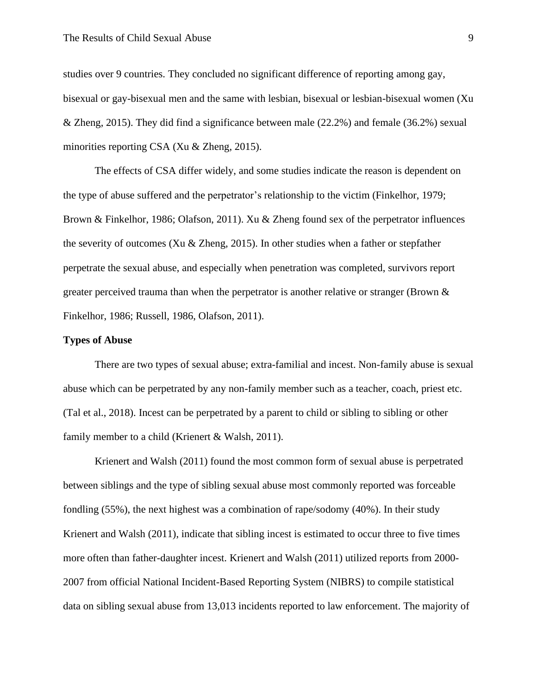studies over 9 countries. They concluded no significant difference of reporting among gay, bisexual or gay-bisexual men and the same with lesbian, bisexual or lesbian-bisexual women (Xu & Zheng, 2015). They did find a significance between male (22.2%) and female (36.2%) sexual minorities reporting CSA (Xu & Zheng, 2015).

The effects of CSA differ widely, and some studies indicate the reason is dependent on the type of abuse suffered and the perpetrator's relationship to the victim (Finkelhor, 1979; Brown & Finkelhor, 1986; Olafson, 2011). Xu & Zheng found sex of the perpetrator influences the severity of outcomes (Xu & Zheng, 2015). In other studies when a father or stepfather perpetrate the sexual abuse, and especially when penetration was completed, survivors report greater perceived trauma than when the perpetrator is another relative or stranger (Brown & Finkelhor, 1986; Russell, 1986, Olafson, 2011).

#### **Types of Abuse**

There are two types of sexual abuse; extra-familial and incest. Non-family abuse is sexual abuse which can be perpetrated by any non-family member such as a teacher, coach, priest etc. (Tal et al., 2018). Incest can be perpetrated by a parent to child or sibling to sibling or other family member to a child (Krienert & Walsh, 2011).

Krienert and Walsh (2011) found the most common form of sexual abuse is perpetrated between siblings and the type of sibling sexual abuse most commonly reported was forceable fondling (55%), the next highest was a combination of rape/sodomy (40%). In their study Krienert and Walsh (2011), indicate that sibling incest is estimated to occur three to five times more often than father-daughter incest. Krienert and Walsh (2011) utilized reports from 2000- 2007 from official National Incident-Based Reporting System (NIBRS) to compile statistical data on sibling sexual abuse from 13,013 incidents reported to law enforcement. The majority of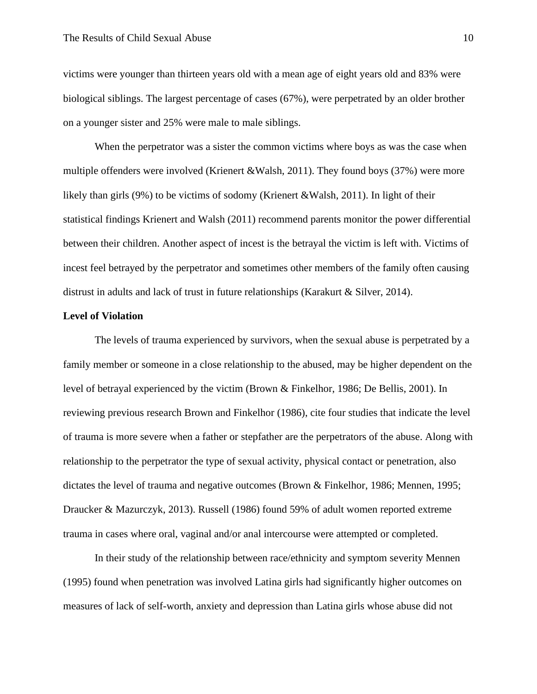victims were younger than thirteen years old with a mean age of eight years old and 83% were biological siblings. The largest percentage of cases (67%), were perpetrated by an older brother on a younger sister and 25% were male to male siblings.

When the perpetrator was a sister the common victims where boys as was the case when multiple offenders were involved (Krienert &Walsh, 2011). They found boys (37%) were more likely than girls (9%) to be victims of sodomy (Krienert &Walsh, 2011). In light of their statistical findings Krienert and Walsh (2011) recommend parents monitor the power differential between their children. Another aspect of incest is the betrayal the victim is left with. Victims of incest feel betrayed by the perpetrator and sometimes other members of the family often causing distrust in adults and lack of trust in future relationships (Karakurt & Silver, 2014).

#### **Level of Violation**

The levels of trauma experienced by survivors, when the sexual abuse is perpetrated by a family member or someone in a close relationship to the abused, may be higher dependent on the level of betrayal experienced by the victim (Brown & Finkelhor, 1986; De Bellis, 2001). In reviewing previous research Brown and Finkelhor (1986), cite four studies that indicate the level of trauma is more severe when a father or stepfather are the perpetrators of the abuse. Along with relationship to the perpetrator the type of sexual activity, physical contact or penetration, also dictates the level of trauma and negative outcomes (Brown & Finkelhor, 1986; Mennen, 1995; Draucker & Mazurczyk, 2013). Russell (1986) found 59% of adult women reported extreme trauma in cases where oral, vaginal and/or anal intercourse were attempted or completed.

In their study of the relationship between race/ethnicity and symptom severity Mennen (1995) found when penetration was involved Latina girls had significantly higher outcomes on measures of lack of self-worth, anxiety and depression than Latina girls whose abuse did not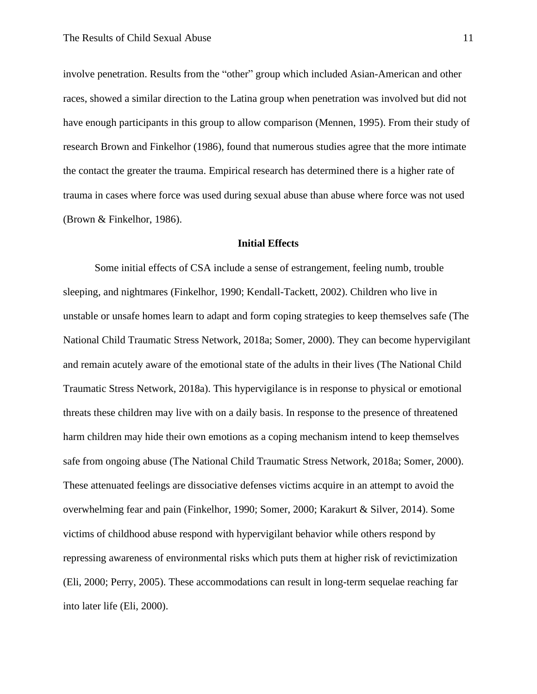involve penetration. Results from the "other" group which included Asian-American and other races, showed a similar direction to the Latina group when penetration was involved but did not have enough participants in this group to allow comparison (Mennen, 1995). From their study of research Brown and Finkelhor (1986), found that numerous studies agree that the more intimate the contact the greater the trauma. Empirical research has determined there is a higher rate of trauma in cases where force was used during sexual abuse than abuse where force was not used (Brown & Finkelhor, 1986).

#### **Initial Effects**

Some initial effects of CSA include a sense of estrangement, feeling numb, trouble sleeping, and nightmares (Finkelhor, 1990; Kendall-Tackett, 2002). Children who live in unstable or unsafe homes learn to adapt and form coping strategies to keep themselves safe (The National Child Traumatic Stress Network, 2018a; Somer, 2000). They can become hypervigilant and remain acutely aware of the emotional state of the adults in their lives (The National Child Traumatic Stress Network, 2018a). This hypervigilance is in response to physical or emotional threats these children may live with on a daily basis. In response to the presence of threatened harm children may hide their own emotions as a coping mechanism intend to keep themselves safe from ongoing abuse (The National Child Traumatic Stress Network, 2018a; Somer, 2000). These attenuated feelings are dissociative defenses victims acquire in an attempt to avoid the overwhelming fear and pain (Finkelhor, 1990; Somer, 2000; Karakurt & Silver, 2014). Some victims of childhood abuse respond with hypervigilant behavior while others respond by repressing awareness of environmental risks which puts them at higher risk of revictimization (Eli, 2000; Perry, 2005). These accommodations can result in long-term sequelae reaching far into later life (Eli, 2000).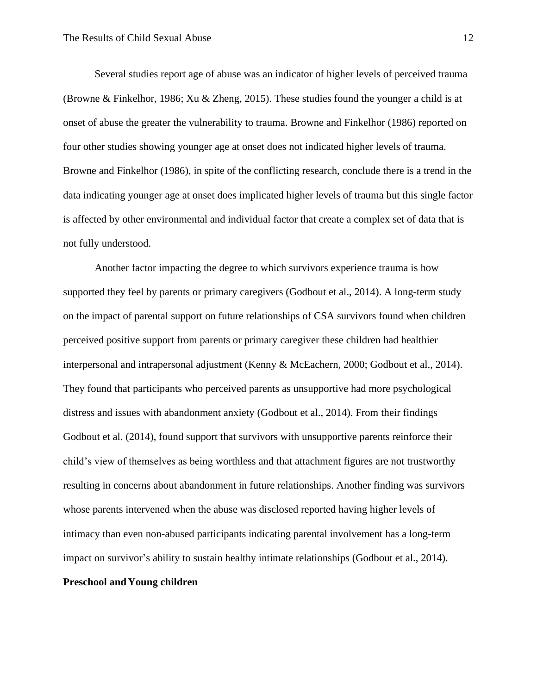Several studies report age of abuse was an indicator of higher levels of perceived trauma (Browne & Finkelhor, 1986; Xu & Zheng, 2015). These studies found the younger a child is at onset of abuse the greater the vulnerability to trauma. Browne and Finkelhor (1986) reported on four other studies showing younger age at onset does not indicated higher levels of trauma. Browne and Finkelhor (1986), in spite of the conflicting research, conclude there is a trend in the data indicating younger age at onset does implicated higher levels of trauma but this single factor is affected by other environmental and individual factor that create a complex set of data that is not fully understood.

Another factor impacting the degree to which survivors experience trauma is how supported they feel by parents or primary caregivers (Godbout et al., 2014). A long-term study on the impact of parental support on future relationships of CSA survivors found when children perceived positive support from parents or primary caregiver these children had healthier interpersonal and intrapersonal adjustment (Kenny & McEachern, 2000; Godbout et al., 2014). They found that participants who perceived parents as unsupportive had more psychological distress and issues with abandonment anxiety (Godbout et al., 2014). From their findings Godbout et al. (2014), found support that survivors with unsupportive parents reinforce their child's view of themselves as being worthless and that attachment figures are not trustworthy resulting in concerns about abandonment in future relationships. Another finding was survivors whose parents intervened when the abuse was disclosed reported having higher levels of intimacy than even non-abused participants indicating parental involvement has a long-term impact on survivor's ability to sustain healthy intimate relationships (Godbout et al., 2014).

## **Preschool andYoung children**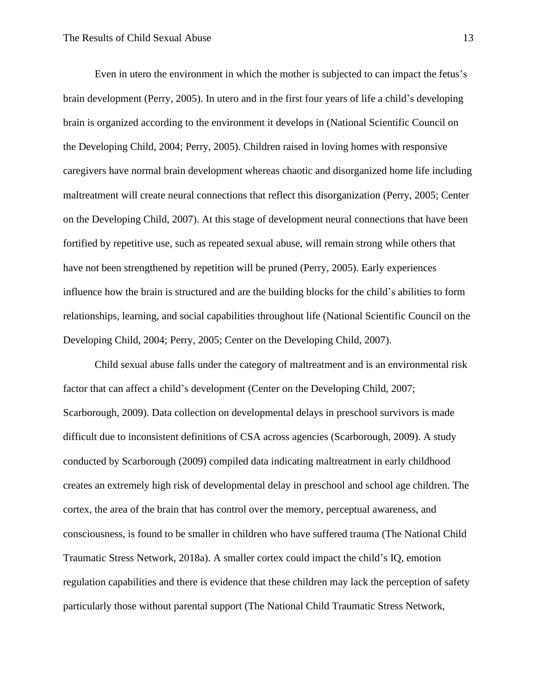Even in utero the environment in which the mother is subjected to can impact the fetus's brain development (Perry, 2005). In utero and in the first four years of life a child's developing brain is organized according to the environment it develops in (National Scientific Council on the Developing Child, 2004; Perry, 2005). Children raised in loving homes with responsive caregivers have normal brain development whereas chaotic and disorganized home life including maltreatment will create neural connections that reflect this disorganization (Perry, 2005; Center on the Developing Child, 2007). At this stage of development neural connections that have been fortified by repetitive use, such as repeated sexual abuse, will remain strong while others that have not been strengthened by repetition will be pruned (Perry, 2005). Early experiences influence how the brain is structured and are the building blocks for the child's abilities to form relationships, learning, and social capabilities throughout life (National Scientific Council on the Developing Child, 2004; Perry, 2005; Center on the Developing Child, 2007).

Child sexual abuse falls under the category of maltreatment and is an environmental risk factor that can affect a child's development (Center on the Developing Child, 2007; Scarborough, 2009). Data collection on developmental delays in preschool survivors is made difficult due to inconsistent definitions of CSA across agencies (Scarborough, 2009). A study conducted by Scarborough (2009) compiled data indicating maltreatment in early childhood creates an extremely high risk of developmental delay in preschool and school age children. The cortex, the area of the brain that has control over the memory, perceptual awareness, and consciousness, is found to be smaller in children who have suffered trauma (The National Child Traumatic Stress Network, 2018a). A smaller cortex could impact the child's IQ, emotion regulation capabilities and there is evidence that these children may lack the perception of safety particularly those without parental support (The National Child Traumatic Stress Network,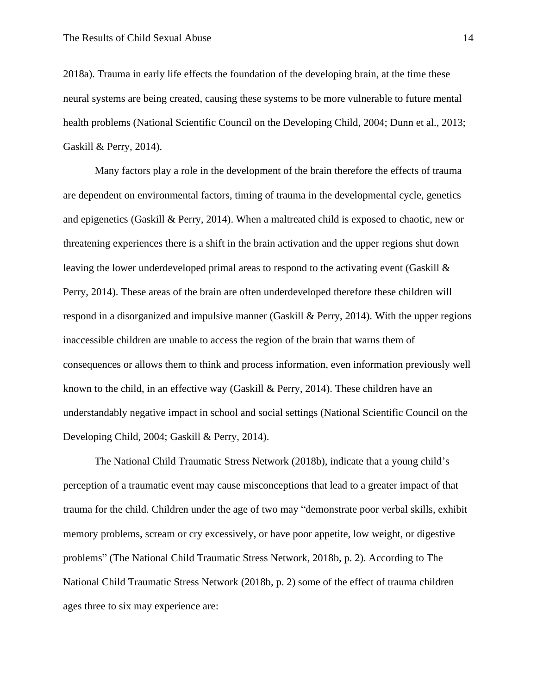2018a). Trauma in early life effects the foundation of the developing brain, at the time these neural systems are being created, causing these systems to be more vulnerable to future mental health problems (National Scientific Council on the Developing Child, 2004; Dunn et al., 2013; Gaskill & Perry, 2014).

Many factors play a role in the development of the brain therefore the effects of trauma are dependent on environmental factors, timing of trauma in the developmental cycle, genetics and epigenetics (Gaskill & Perry, 2014). When a maltreated child is exposed to chaotic, new or threatening experiences there is a shift in the brain activation and the upper regions shut down leaving the lower underdeveloped primal areas to respond to the activating event (Gaskill & Perry, 2014). These areas of the brain are often underdeveloped therefore these children will respond in a disorganized and impulsive manner (Gaskill & Perry, 2014). With the upper regions inaccessible children are unable to access the region of the brain that warns them of consequences or allows them to think and process information, even information previously well known to the child, in an effective way (Gaskill & Perry, 2014). These children have an understandably negative impact in school and social settings (National Scientific Council on the Developing Child, 2004; Gaskill & Perry, 2014).

The National Child Traumatic Stress Network (2018b), indicate that a young child's perception of a traumatic event may cause misconceptions that lead to a greater impact of that trauma for the child. Children under the age of two may "demonstrate poor verbal skills, exhibit memory problems, scream or cry excessively, or have poor appetite, low weight, or digestive problems" (The National Child Traumatic Stress Network, 2018b, p. 2). According to The National Child Traumatic Stress Network (2018b, p. 2) some of the effect of trauma children ages three to six may experience are: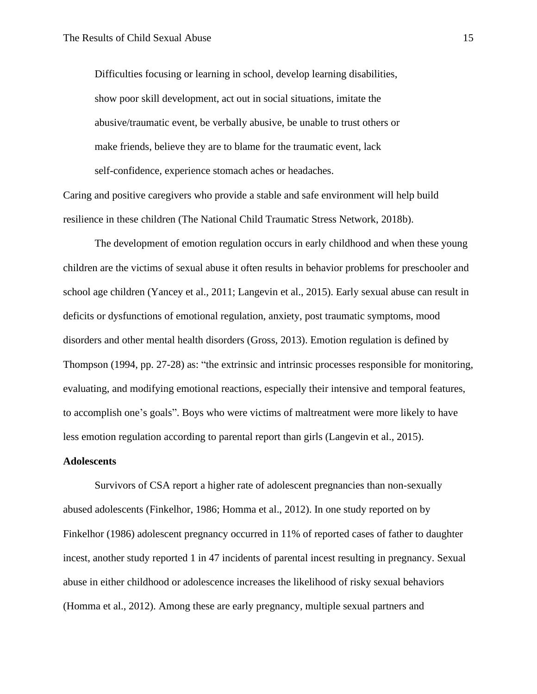Difficulties focusing or learning in school, develop learning disabilities, show poor skill development, act out in social situations, imitate the abusive/traumatic event, be verbally abusive, be unable to trust others or make friends, believe they are to blame for the traumatic event, lack self-confidence, experience stomach aches or headaches.

Caring and positive caregivers who provide a stable and safe environment will help build resilience in these children (The National Child Traumatic Stress Network, 2018b).

The development of emotion regulation occurs in early childhood and when these young children are the victims of sexual abuse it often results in behavior problems for preschooler and school age children (Yancey et al., 2011; Langevin et al., 2015). Early sexual abuse can result in deficits or dysfunctions of emotional regulation, anxiety, post traumatic symptoms, mood disorders and other mental health disorders (Gross, 2013). Emotion regulation is defined by Thompson (1994, pp. 27-28) as: "the extrinsic and intrinsic processes responsible for monitoring, evaluating, and modifying emotional reactions, especially their intensive and temporal features, to accomplish one's goals". Boys who were victims of maltreatment were more likely to have less emotion regulation according to parental report than girls (Langevin et al., 2015).

#### **Adolescents**

Survivors of CSA report a higher rate of adolescent pregnancies than non-sexually abused adolescents (Finkelhor, 1986; Homma et al., 2012). In one study reported on by Finkelhor (1986) adolescent pregnancy occurred in 11% of reported cases of father to daughter incest, another study reported 1 in 47 incidents of parental incest resulting in pregnancy. Sexual abuse in either childhood or adolescence increases the likelihood of risky sexual behaviors (Homma et al., 2012). Among these are early pregnancy, multiple sexual partners and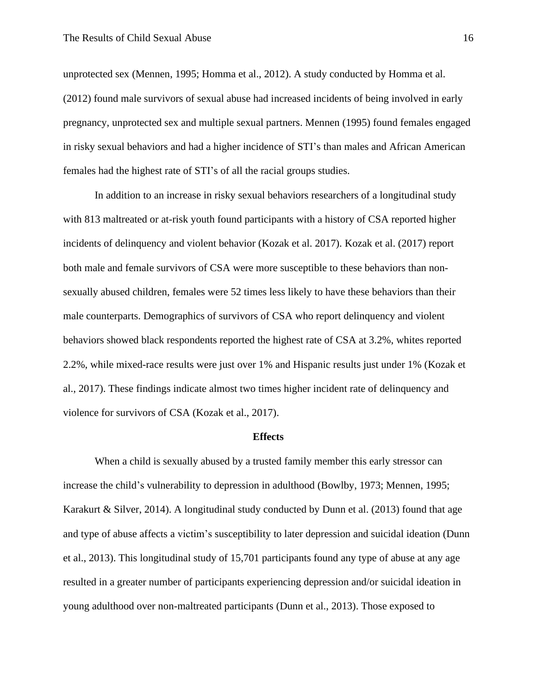unprotected sex (Mennen, 1995; Homma et al., 2012). A study conducted by Homma et al. (2012) found male survivors of sexual abuse had increased incidents of being involved in early pregnancy, unprotected sex and multiple sexual partners. Mennen (1995) found females engaged in risky sexual behaviors and had a higher incidence of STI's than males and African American females had the highest rate of STI's of all the racial groups studies.

In addition to an increase in risky sexual behaviors researchers of a longitudinal study with 813 maltreated or at-risk youth found participants with a history of CSA reported higher incidents of delinquency and violent behavior (Kozak et al. 2017). Kozak et al. (2017) report both male and female survivors of CSA were more susceptible to these behaviors than nonsexually abused children, females were 52 times less likely to have these behaviors than their male counterparts. Demographics of survivors of CSA who report delinquency and violent behaviors showed black respondents reported the highest rate of CSA at 3.2%, whites reported 2.2%, while mixed-race results were just over 1% and Hispanic results just under 1% (Kozak et al., 2017). These findings indicate almost two times higher incident rate of delinquency and violence for survivors of CSA (Kozak et al., 2017).

#### **Effects**

When a child is sexually abused by a trusted family member this early stressor can increase the child's vulnerability to depression in adulthood (Bowlby, 1973; Mennen, 1995; Karakurt & Silver, 2014). A longitudinal study conducted by Dunn et al. (2013) found that age and type of abuse affects a victim's susceptibility to later depression and suicidal ideation (Dunn et al., 2013). This longitudinal study of 15,701 participants found any type of abuse at any age resulted in a greater number of participants experiencing depression and/or suicidal ideation in young adulthood over non-maltreated participants (Dunn et al., 2013). Those exposed to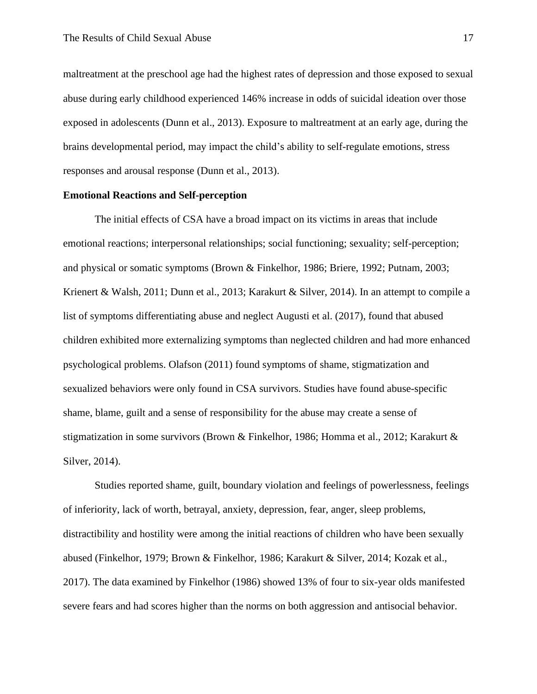maltreatment at the preschool age had the highest rates of depression and those exposed to sexual abuse during early childhood experienced 146% increase in odds of suicidal ideation over those exposed in adolescents (Dunn et al., 2013). Exposure to maltreatment at an early age, during the brains developmental period, may impact the child's ability to self-regulate emotions, stress responses and arousal response (Dunn et al., 2013).

#### **Emotional Reactions and Self-perception**

The initial effects of CSA have a broad impact on its victims in areas that include emotional reactions; interpersonal relationships; social functioning; sexuality; self-perception; and physical or somatic symptoms (Brown & Finkelhor, 1986; Briere, 1992; Putnam, 2003; Krienert & Walsh, 2011; Dunn et al., 2013; Karakurt & Silver, 2014). In an attempt to compile a list of symptoms differentiating abuse and neglect Augusti et al. (2017), found that abused children exhibited more externalizing symptoms than neglected children and had more enhanced psychological problems. Olafson (2011) found symptoms of shame, stigmatization and sexualized behaviors were only found in CSA survivors. Studies have found abuse-specific shame, blame, guilt and a sense of responsibility for the abuse may create a sense of stigmatization in some survivors (Brown & Finkelhor, 1986; Homma et al., 2012; Karakurt & Silver, 2014).

Studies reported shame, guilt, boundary violation and feelings of powerlessness, feelings of inferiority, lack of worth, betrayal, anxiety, depression, fear, anger, sleep problems, distractibility and hostility were among the initial reactions of children who have been sexually abused (Finkelhor, 1979; Brown & Finkelhor, 1986; Karakurt & Silver, 2014; Kozak et al., 2017). The data examined by Finkelhor (1986) showed 13% of four to six-year olds manifested severe fears and had scores higher than the norms on both aggression and antisocial behavior.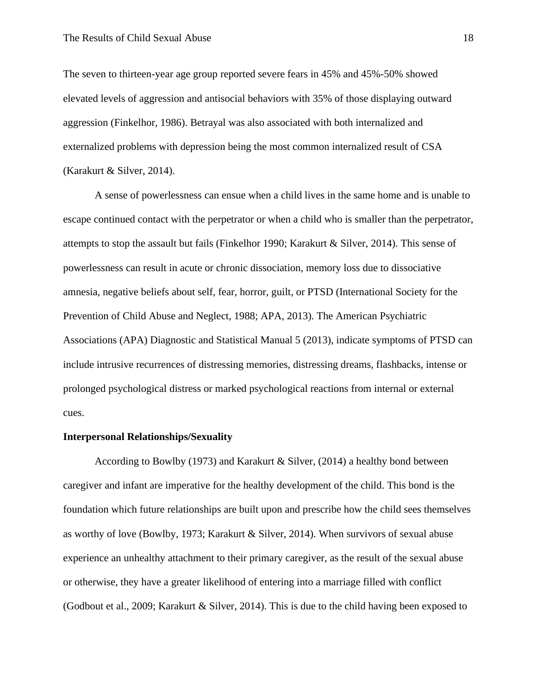The seven to thirteen-year age group reported severe fears in 45% and 45%-50% showed elevated levels of aggression and antisocial behaviors with 35% of those displaying outward aggression (Finkelhor, 1986). Betrayal was also associated with both internalized and externalized problems with depression being the most common internalized result of CSA (Karakurt & Silver, 2014).

A sense of powerlessness can ensue when a child lives in the same home and is unable to escape continued contact with the perpetrator or when a child who is smaller than the perpetrator, attempts to stop the assault but fails (Finkelhor 1990; Karakurt & Silver, 2014). This sense of powerlessness can result in acute or chronic dissociation, memory loss due to dissociative amnesia, negative beliefs about self, fear, horror, guilt, or PTSD (International Society for the Prevention of Child Abuse and Neglect, 1988; APA, 2013). The American Psychiatric Associations (APA) Diagnostic and Statistical Manual 5 (2013), indicate symptoms of PTSD can include intrusive recurrences of distressing memories, distressing dreams, flashbacks, intense or prolonged psychological distress or marked psychological reactions from internal or external cues.

#### **Interpersonal Relationships/Sexuality**

According to Bowlby (1973) and Karakurt & Silver, (2014) a healthy bond between caregiver and infant are imperative for the healthy development of the child. This bond is the foundation which future relationships are built upon and prescribe how the child sees themselves as worthy of love (Bowlby, 1973; Karakurt & Silver, 2014). When survivors of sexual abuse experience an unhealthy attachment to their primary caregiver, as the result of the sexual abuse or otherwise, they have a greater likelihood of entering into a marriage filled with conflict (Godbout et al., 2009; Karakurt & Silver, 2014). This is due to the child having been exposed to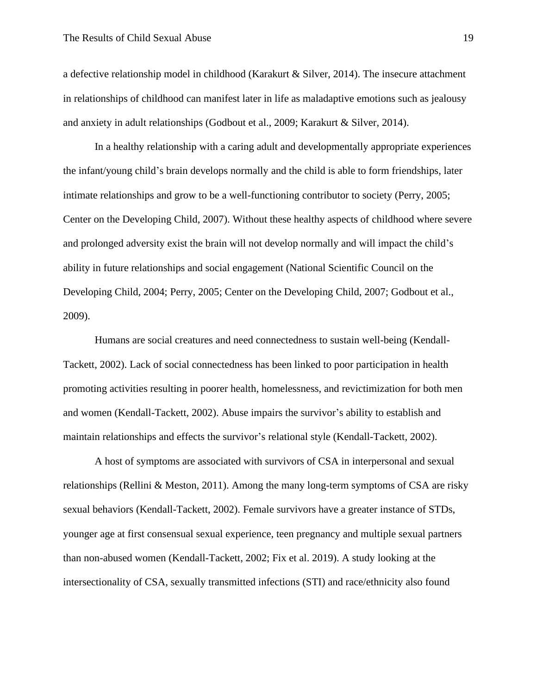a defective relationship model in childhood (Karakurt & Silver, 2014). The insecure attachment in relationships of childhood can manifest later in life as maladaptive emotions such as jealousy and anxiety in adult relationships (Godbout et al., 2009; Karakurt & Silver, 2014).

In a healthy relationship with a caring adult and developmentally appropriate experiences the infant/young child's brain develops normally and the child is able to form friendships, later intimate relationships and grow to be a well-functioning contributor to society (Perry, 2005; Center on the Developing Child, 2007). Without these healthy aspects of childhood where severe and prolonged adversity exist the brain will not develop normally and will impact the child's ability in future relationships and social engagement (National Scientific Council on the Developing Child, 2004; Perry, 2005; Center on the Developing Child, 2007; Godbout et al., 2009).

Humans are social creatures and need connectedness to sustain well-being (Kendall-Tackett, 2002). Lack of social connectedness has been linked to poor participation in health promoting activities resulting in poorer health, homelessness, and revictimization for both men and women (Kendall-Tackett, 2002). Abuse impairs the survivor's ability to establish and maintain relationships and effects the survivor's relational style (Kendall-Tackett, 2002).

 A host of symptoms are associated with survivors of CSA in interpersonal and sexual relationships (Rellini & Meston, 2011). Among the many long-term symptoms of CSA are risky sexual behaviors (Kendall-Tackett, 2002). Female survivors have a greater instance of STDs, younger age at first consensual sexual experience, teen pregnancy and multiple sexual partners than non-abused women (Kendall-Tackett, 2002; Fix et al. 2019). A study looking at the intersectionality of CSA, sexually transmitted infections (STI) and race/ethnicity also found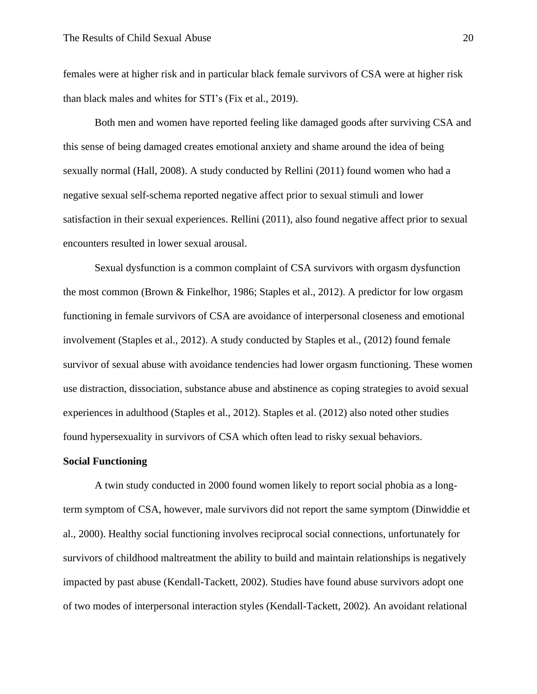females were at higher risk and in particular black female survivors of CSA were at higher risk than black males and whites for STI's (Fix et al., 2019).

Both men and women have reported feeling like damaged goods after surviving CSA and this sense of being damaged creates emotional anxiety and shame around the idea of being sexually normal (Hall, 2008). A study conducted by Rellini (2011) found women who had a negative sexual self-schema reported negative affect prior to sexual stimuli and lower satisfaction in their sexual experiences. Rellini (2011), also found negative affect prior to sexual encounters resulted in lower sexual arousal.

 Sexual dysfunction is a common complaint of CSA survivors with orgasm dysfunction the most common (Brown & Finkelhor, 1986; Staples et al., 2012). A predictor for low orgasm functioning in female survivors of CSA are avoidance of interpersonal closeness and emotional involvement (Staples et al., 2012). A study conducted by Staples et al., (2012) found female survivor of sexual abuse with avoidance tendencies had lower orgasm functioning. These women use distraction, dissociation, substance abuse and abstinence as coping strategies to avoid sexual experiences in adulthood (Staples et al., 2012). Staples et al. (2012) also noted other studies found hypersexuality in survivors of CSA which often lead to risky sexual behaviors.

#### **Social Functioning**

A twin study conducted in 2000 found women likely to report social phobia as a longterm symptom of CSA, however, male survivors did not report the same symptom (Dinwiddie et al., 2000). Healthy social functioning involves reciprocal social connections, unfortunately for survivors of childhood maltreatment the ability to build and maintain relationships is negatively impacted by past abuse (Kendall-Tackett, 2002). Studies have found abuse survivors adopt one of two modes of interpersonal interaction styles (Kendall-Tackett, 2002). An avoidant relational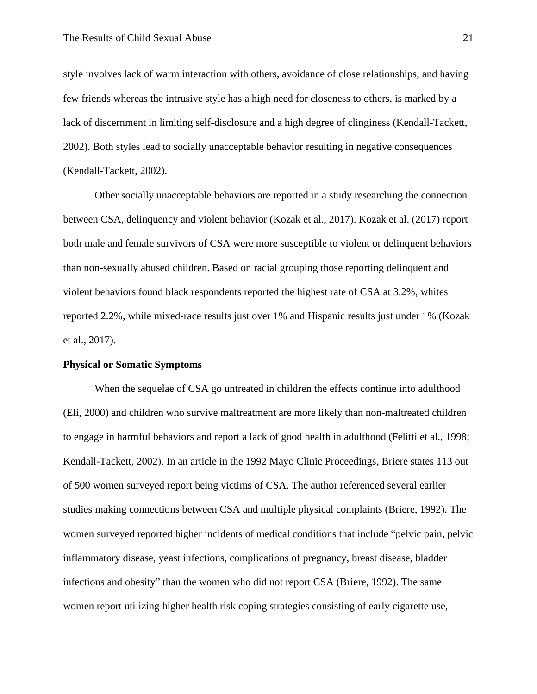style involves lack of warm interaction with others, avoidance of close relationships, and having few friends whereas the intrusive style has a high need for closeness to others, is marked by a lack of discernment in limiting self-disclosure and a high degree of clinginess (Kendall-Tackett, 2002). Both styles lead to socially unacceptable behavior resulting in negative consequences (Kendall-Tackett, 2002).

Other socially unacceptable behaviors are reported in a study researching the connection between CSA, delinquency and violent behavior (Kozak et al., 2017). Kozak et al. (2017) report both male and female survivors of CSA were more susceptible to violent or delinquent behaviors than non-sexually abused children. Based on racial grouping those reporting delinquent and violent behaviors found black respondents reported the highest rate of CSA at 3.2%, whites reported 2.2%, while mixed-race results just over 1% and Hispanic results just under 1% (Kozak et al., 2017).

#### **Physical or Somatic Symptoms**

When the sequelae of CSA go untreated in children the effects continue into adulthood (Eli, 2000) and children who survive maltreatment are more likely than non-maltreated children to engage in harmful behaviors and report a lack of good health in adulthood (Felitti et al., 1998; Kendall-Tackett, 2002). In an article in the 1992 Mayo Clinic Proceedings, Briere states 113 out of 500 women surveyed report being victims of CSA. The author referenced several earlier studies making connections between CSA and multiple physical complaints (Briere, 1992). The women surveyed reported higher incidents of medical conditions that include "pelvic pain, pelvic inflammatory disease, yeast infections, complications of pregnancy, breast disease, bladder infections and obesity" than the women who did not report CSA (Briere, 1992). The same women report utilizing higher health risk coping strategies consisting of early cigarette use,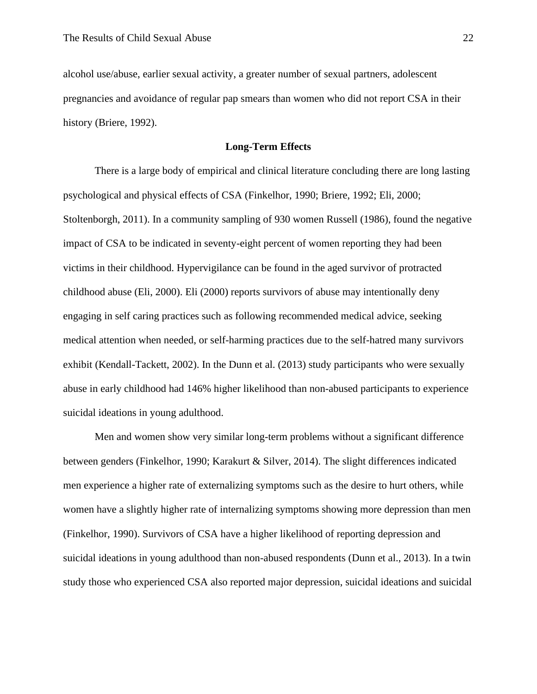alcohol use/abuse, earlier sexual activity, a greater number of sexual partners, adolescent pregnancies and avoidance of regular pap smears than women who did not report CSA in their history (Briere, 1992).

#### **Long-Term Effects**

There is a large body of empirical and clinical literature concluding there are long lasting psychological and physical effects of CSA (Finkelhor, 1990; Briere, 1992; Eli, 2000; Stoltenborgh, 2011). In a community sampling of 930 women Russell (1986), found the negative impact of CSA to be indicated in seventy-eight percent of women reporting they had been victims in their childhood. Hypervigilance can be found in the aged survivor of protracted childhood abuse (Eli, 2000). Eli (2000) reports survivors of abuse may intentionally deny engaging in self caring practices such as following recommended medical advice, seeking medical attention when needed, or self-harming practices due to the self-hatred many survivors exhibit (Kendall-Tackett, 2002). In the Dunn et al. (2013) study participants who were sexually abuse in early childhood had 146% higher likelihood than non-abused participants to experience suicidal ideations in young adulthood.

Men and women show very similar long-term problems without a significant difference between genders (Finkelhor, 1990; Karakurt & Silver, 2014). The slight differences indicated men experience a higher rate of externalizing symptoms such as the desire to hurt others, while women have a slightly higher rate of internalizing symptoms showing more depression than men (Finkelhor, 1990). Survivors of CSA have a higher likelihood of reporting depression and suicidal ideations in young adulthood than non-abused respondents (Dunn et al., 2013). In a twin study those who experienced CSA also reported major depression, suicidal ideations and suicidal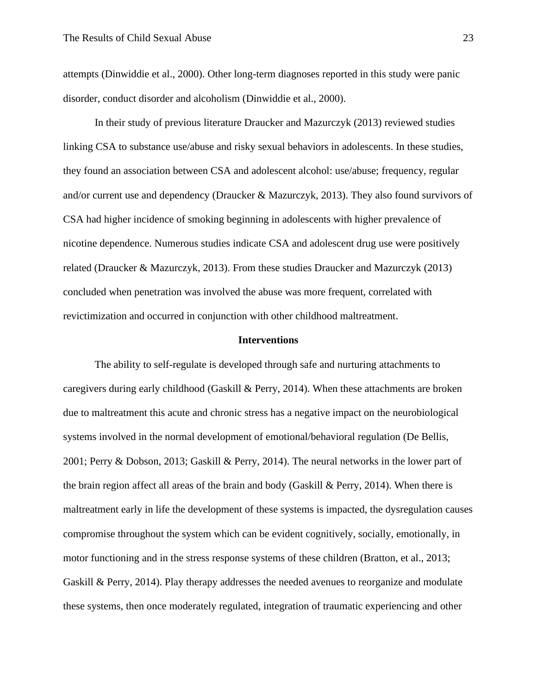attempts (Dinwiddie et al., 2000). Other long-term diagnoses reported in this study were panic disorder, conduct disorder and alcoholism (Dinwiddie et al., 2000).

In their study of previous literature Draucker and Mazurczyk (2013) reviewed studies linking CSA to substance use/abuse and risky sexual behaviors in adolescents. In these studies, they found an association between CSA and adolescent alcohol: use/abuse; frequency, regular and/or current use and dependency (Draucker & Mazurczyk, 2013). They also found survivors of CSA had higher incidence of smoking beginning in adolescents with higher prevalence of nicotine dependence. Numerous studies indicate CSA and adolescent drug use were positively related (Draucker & Mazurczyk, 2013). From these studies Draucker and Mazurczyk (2013) concluded when penetration was involved the abuse was more frequent, correlated with revictimization and occurred in conjunction with other childhood maltreatment.

#### **Interventions**

The ability to self-regulate is developed through safe and nurturing attachments to caregivers during early childhood (Gaskill & Perry, 2014). When these attachments are broken due to maltreatment this acute and chronic stress has a negative impact on the neurobiological systems involved in the normal development of emotional/behavioral regulation (De Bellis, 2001; Perry & Dobson, 2013; Gaskill & Perry, 2014). The neural networks in the lower part of the brain region affect all areas of the brain and body (Gaskill  $\&$  Perry, 2014). When there is maltreatment early in life the development of these systems is impacted, the dysregulation causes compromise throughout the system which can be evident cognitively, socially, emotionally, in motor functioning and in the stress response systems of these children (Bratton, et al., 2013; Gaskill & Perry, 2014). Play therapy addresses the needed avenues to reorganize and modulate these systems, then once moderately regulated, integration of traumatic experiencing and other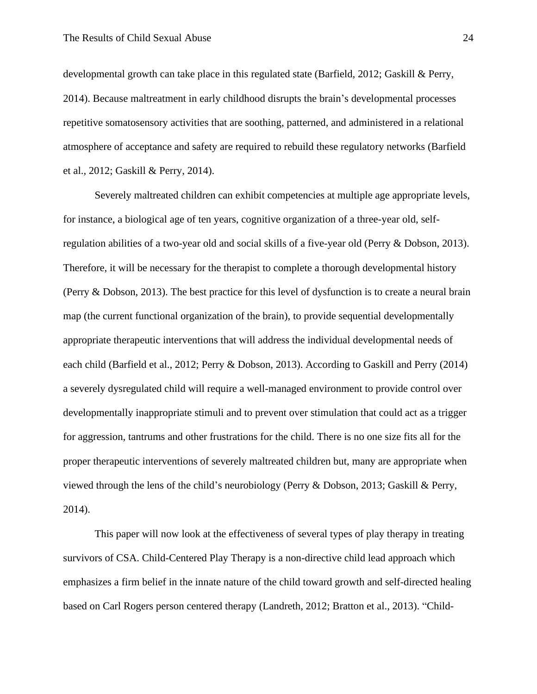developmental growth can take place in this regulated state (Barfield, 2012; Gaskill & Perry, 2014). Because maltreatment in early childhood disrupts the brain's developmental processes repetitive somatosensory activities that are soothing, patterned, and administered in a relational atmosphere of acceptance and safety are required to rebuild these regulatory networks (Barfield et al., 2012; Gaskill & Perry, 2014).

Severely maltreated children can exhibit competencies at multiple age appropriate levels, for instance, a biological age of ten years, cognitive organization of a three-year old, selfregulation abilities of a two-year old and social skills of a five-year old (Perry & Dobson, 2013). Therefore, it will be necessary for the therapist to complete a thorough developmental history (Perry & Dobson, 2013). The best practice for this level of dysfunction is to create a neural brain map (the current functional organization of the brain), to provide sequential developmentally appropriate therapeutic interventions that will address the individual developmental needs of each child (Barfield et al., 2012; Perry & Dobson, 2013). According to Gaskill and Perry (2014) a severely dysregulated child will require a well-managed environment to provide control over developmentally inappropriate stimuli and to prevent over stimulation that could act as a trigger for aggression, tantrums and other frustrations for the child. There is no one size fits all for the proper therapeutic interventions of severely maltreated children but, many are appropriate when viewed through the lens of the child's neurobiology (Perry & Dobson, 2013; Gaskill & Perry, 2014).

This paper will now look at the effectiveness of several types of play therapy in treating survivors of CSA. Child-Centered Play Therapy is a non-directive child lead approach which emphasizes a firm belief in the innate nature of the child toward growth and self-directed healing based on Carl Rogers person centered therapy (Landreth, 2012; Bratton et al., 2013). "Child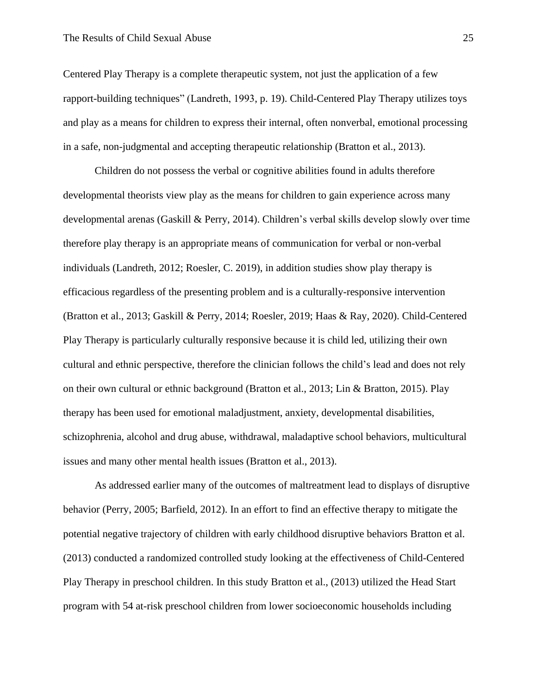Centered Play Therapy is a complete therapeutic system, not just the application of a few rapport-building techniques" (Landreth, 1993, p. 19). Child-Centered Play Therapy utilizes toys and play as a means for children to express their internal, often nonverbal, emotional processing in a safe, non-judgmental and accepting therapeutic relationship (Bratton et al., 2013).

Children do not possess the verbal or cognitive abilities found in adults therefore developmental theorists view play as the means for children to gain experience across many developmental arenas (Gaskill & Perry, 2014). Children's verbal skills develop slowly over time therefore play therapy is an appropriate means of communication for verbal or non-verbal individuals (Landreth, 2012; Roesler, C. 2019), in addition studies show play therapy is efficacious regardless of the presenting problem and is a culturally-responsive intervention (Bratton et al., 2013; Gaskill & Perry, 2014; Roesler, 2019; Haas & Ray, 2020). Child-Centered Play Therapy is particularly culturally responsive because it is child led, utilizing their own cultural and ethnic perspective, therefore the clinician follows the child's lead and does not rely on their own cultural or ethnic background (Bratton et al., 2013; Lin & Bratton, 2015). Play therapy has been used for emotional maladjustment, anxiety, developmental disabilities, schizophrenia, alcohol and drug abuse, withdrawal, maladaptive school behaviors, multicultural issues and many other mental health issues (Bratton et al., 2013).

As addressed earlier many of the outcomes of maltreatment lead to displays of disruptive behavior (Perry, 2005; Barfield, 2012). In an effort to find an effective therapy to mitigate the potential negative trajectory of children with early childhood disruptive behaviors Bratton et al. (2013) conducted a randomized controlled study looking at the effectiveness of Child-Centered Play Therapy in preschool children. In this study Bratton et al., (2013) utilized the Head Start program with 54 at-risk preschool children from lower socioeconomic households including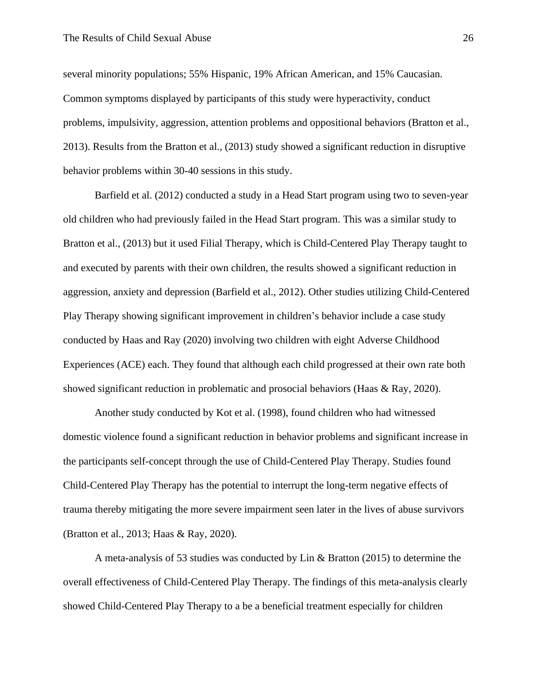several minority populations; 55% Hispanic, 19% African American, and 15% Caucasian. Common symptoms displayed by participants of this study were hyperactivity, conduct problems, impulsivity, aggression, attention problems and oppositional behaviors (Bratton et al., 2013). Results from the Bratton et al., (2013) study showed a significant reduction in disruptive behavior problems within 30-40 sessions in this study.

Barfield et al. (2012) conducted a study in a Head Start program using two to seven-year old children who had previously failed in the Head Start program. This was a similar study to Bratton et al., (2013) but it used Filial Therapy, which is Child-Centered Play Therapy taught to and executed by parents with their own children, the results showed a significant reduction in aggression, anxiety and depression (Barfield et al., 2012). Other studies utilizing Child-Centered Play Therapy showing significant improvement in children's behavior include a case study conducted by Haas and Ray (2020) involving two children with eight Adverse Childhood Experiences (ACE) each. They found that although each child progressed at their own rate both showed significant reduction in problematic and prosocial behaviors (Haas & Ray, 2020).

Another study conducted by Kot et al. (1998), found children who had witnessed domestic violence found a significant reduction in behavior problems and significant increase in the participants self-concept through the use of Child-Centered Play Therapy. Studies found Child-Centered Play Therapy has the potential to interrupt the long-term negative effects of trauma thereby mitigating the more severe impairment seen later in the lives of abuse survivors (Bratton et al., 2013; Haas & Ray, 2020).

A meta-analysis of 53 studies was conducted by Lin & Bratton (2015) to determine the overall effectiveness of Child-Centered Play Therapy. The findings of this meta-analysis clearly showed Child-Centered Play Therapy to a be a beneficial treatment especially for children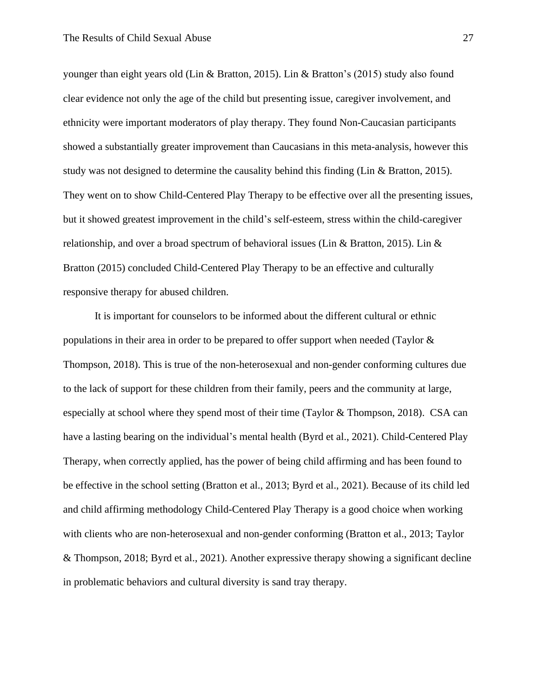younger than eight years old (Lin & Bratton, 2015). Lin & Bratton's (2015) study also found clear evidence not only the age of the child but presenting issue, caregiver involvement, and ethnicity were important moderators of play therapy. They found Non-Caucasian participants showed a substantially greater improvement than Caucasians in this meta-analysis, however this study was not designed to determine the causality behind this finding (Lin & Bratton, 2015). They went on to show Child-Centered Play Therapy to be effective over all the presenting issues, but it showed greatest improvement in the child's self-esteem, stress within the child-caregiver relationship, and over a broad spectrum of behavioral issues (Lin & Bratton, 2015). Lin & Bratton (2015) concluded Child-Centered Play Therapy to be an effective and culturally responsive therapy for abused children.

It is important for counselors to be informed about the different cultural or ethnic populations in their area in order to be prepared to offer support when needed (Taylor & Thompson, 2018). This is true of the non-heterosexual and non-gender conforming cultures due to the lack of support for these children from their family, peers and the community at large, especially at school where they spend most of their time (Taylor & Thompson, 2018). CSA can have a lasting bearing on the individual's mental health (Byrd et al., 2021). Child-Centered Play Therapy, when correctly applied, has the power of being child affirming and has been found to be effective in the school setting (Bratton et al., 2013; Byrd et al., 2021). Because of its child led and child affirming methodology Child-Centered Play Therapy is a good choice when working with clients who are non-heterosexual and non-gender conforming (Bratton et al., 2013; Taylor & Thompson, 2018; Byrd et al., 2021). Another expressive therapy showing a significant decline in problematic behaviors and cultural diversity is sand tray therapy.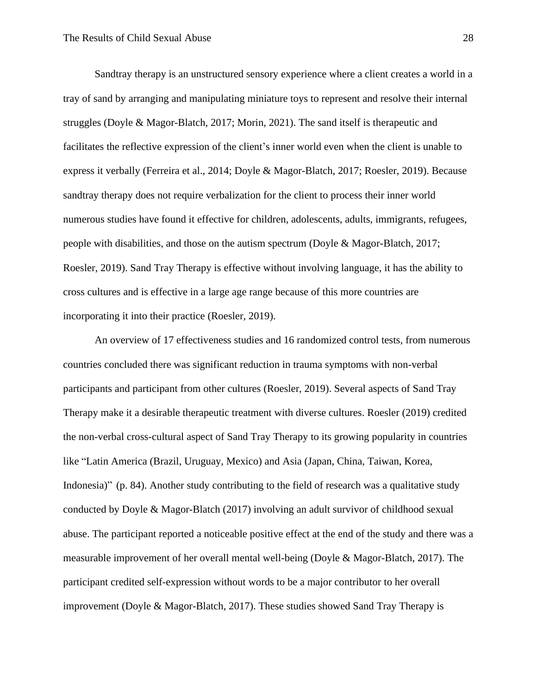Sandtray therapy is an unstructured sensory experience where a client creates a world in a tray of sand by arranging and manipulating miniature toys to represent and resolve their internal struggles (Doyle & Magor-Blatch, 2017; Morin, 2021). The sand itself is therapeutic and facilitates the reflective expression of the client's inner world even when the client is unable to express it verbally (Ferreira et al., 2014; Doyle & Magor-Blatch, 2017; Roesler, 2019). Because sandtray therapy does not require verbalization for the client to process their inner world numerous studies have found it effective for children, adolescents, adults, immigrants, refugees, people with disabilities, and those on the autism spectrum (Doyle & Magor-Blatch, 2017; Roesler, 2019). Sand Tray Therapy is effective without involving language, it has the ability to cross cultures and is effective in a large age range because of this more countries are incorporating it into their practice (Roesler, 2019).

An overview of 17 effectiveness studies and 16 randomized control tests, from numerous countries concluded there was significant reduction in trauma symptoms with non-verbal participants and participant from other cultures (Roesler, 2019). Several aspects of Sand Tray Therapy make it a desirable therapeutic treatment with diverse cultures. Roesler (2019) credited the non-verbal cross-cultural aspect of Sand Tray Therapy to its growing popularity in countries like "Latin America (Brazil, Uruguay, Mexico) and Asia (Japan, China, Taiwan, Korea, Indonesia)" (p. 84). Another study contributing to the field of research was a qualitative study conducted by Doyle & Magor-Blatch (2017) involving an adult survivor of childhood sexual abuse. The participant reported a noticeable positive effect at the end of the study and there was a measurable improvement of her overall mental well-being (Doyle & Magor-Blatch, 2017). The participant credited self-expression without words to be a major contributor to her overall improvement (Doyle & Magor-Blatch, 2017). These studies showed Sand Tray Therapy is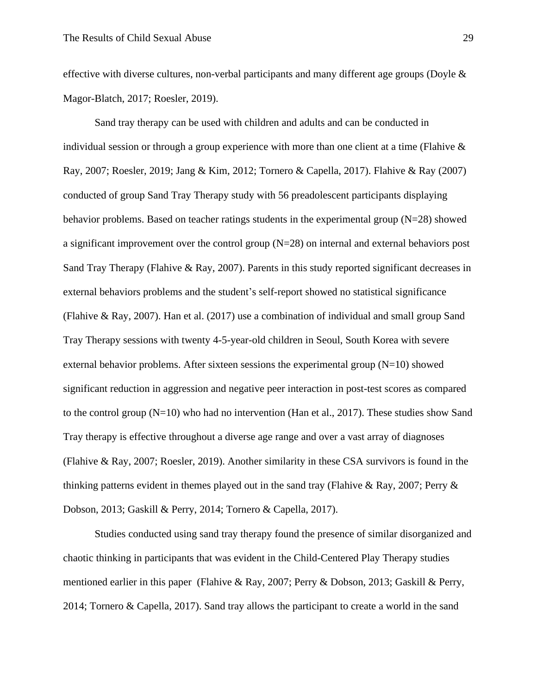effective with diverse cultures, non-verbal participants and many different age groups (Doyle  $\&$ Magor-Blatch, 2017; Roesler, 2019).

Sand tray therapy can be used with children and adults and can be conducted in individual session or through a group experience with more than one client at a time (Flahive & Ray, 2007; Roesler, 2019; Jang & Kim, 2012; Tornero & Capella, 2017). Flahive & Ray (2007) conducted of group Sand Tray Therapy study with 56 preadolescent participants displaying behavior problems. Based on teacher ratings students in the experimental group  $(N=28)$  showed a significant improvement over the control group (N=28) on internal and external behaviors post Sand Tray Therapy (Flahive & Ray, 2007). Parents in this study reported significant decreases in external behaviors problems and the student's self-report showed no statistical significance (Flahive & Ray, 2007). Han et al. (2017) use a combination of individual and small group Sand Tray Therapy sessions with twenty 4-5-year-old children in Seoul, South Korea with severe external behavior problems. After sixteen sessions the experimental group  $(N=10)$  showed significant reduction in aggression and negative peer interaction in post-test scores as compared to the control group (N=10) who had no intervention (Han et al., 2017). These studies show Sand Tray therapy is effective throughout a diverse age range and over a vast array of diagnoses (Flahive & Ray, 2007; Roesler, 2019). Another similarity in these CSA survivors is found in the thinking patterns evident in themes played out in the sand tray (Flahive & Ray, 2007; Perry  $\&$ Dobson, 2013; Gaskill & Perry, 2014; Tornero & Capella, 2017).

Studies conducted using sand tray therapy found the presence of similar disorganized and chaotic thinking in participants that was evident in the Child-Centered Play Therapy studies mentioned earlier in this paper (Flahive & Ray, 2007; Perry & Dobson, 2013; Gaskill & Perry, 2014; Tornero & Capella, 2017). Sand tray allows the participant to create a world in the sand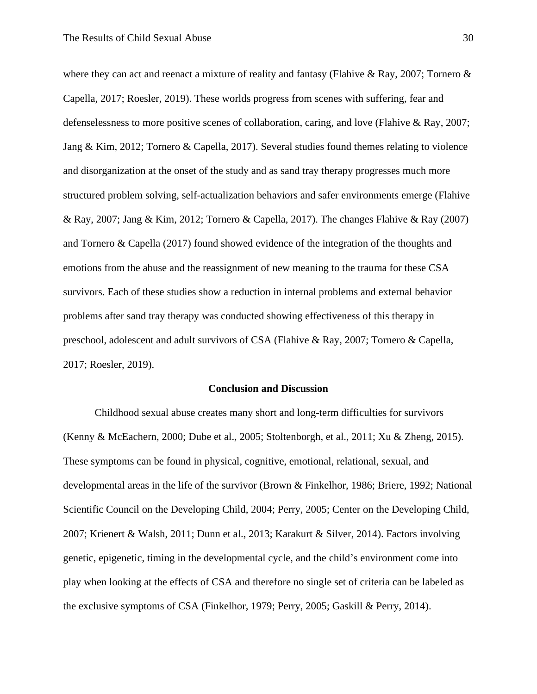where they can act and reenact a mixture of reality and fantasy (Flahive & Ray, 2007; Tornero  $\&$ Capella, 2017; Roesler, 2019). These worlds progress from scenes with suffering, fear and defenselessness to more positive scenes of collaboration, caring, and love (Flahive & Ray, 2007; Jang & Kim, 2012; Tornero & Capella, 2017). Several studies found themes relating to violence and disorganization at the onset of the study and as sand tray therapy progresses much more structured problem solving, self-actualization behaviors and safer environments emerge (Flahive & Ray, 2007; Jang & Kim, 2012; Tornero & Capella, 2017). The changes Flahive & Ray (2007) and Tornero & Capella (2017) found showed evidence of the integration of the thoughts and emotions from the abuse and the reassignment of new meaning to the trauma for these CSA survivors. Each of these studies show a reduction in internal problems and external behavior problems after sand tray therapy was conducted showing effectiveness of this therapy in preschool, adolescent and adult survivors of CSA (Flahive & Ray, 2007; Tornero & Capella, 2017; Roesler, 2019).

#### **Conclusion and Discussion**

Childhood sexual abuse creates many short and long-term difficulties for survivors (Kenny & McEachern, 2000; Dube et al., 2005; Stoltenborgh, et al., 2011; Xu & Zheng, 2015). These symptoms can be found in physical, cognitive, emotional, relational, sexual, and developmental areas in the life of the survivor (Brown & Finkelhor, 1986; Briere, 1992; National Scientific Council on the Developing Child, 2004; Perry, 2005; Center on the Developing Child, 2007; Krienert & Walsh, 2011; Dunn et al., 2013; Karakurt & Silver, 2014). Factors involving genetic, epigenetic, timing in the developmental cycle, and the child's environment come into play when looking at the effects of CSA and therefore no single set of criteria can be labeled as the exclusive symptoms of CSA (Finkelhor, 1979; Perry, 2005; Gaskill & Perry, 2014).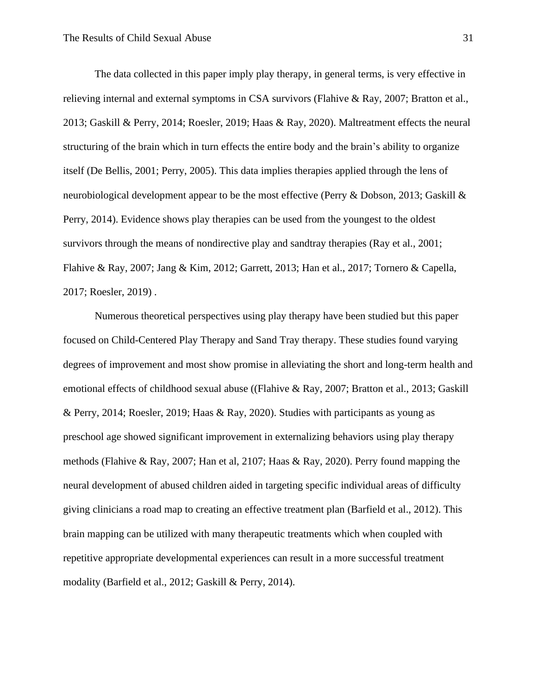The data collected in this paper imply play therapy, in general terms, is very effective in relieving internal and external symptoms in CSA survivors (Flahive & Ray, 2007; Bratton et al., 2013; Gaskill & Perry, 2014; Roesler, 2019; Haas & Ray, 2020). Maltreatment effects the neural structuring of the brain which in turn effects the entire body and the brain's ability to organize itself (De Bellis, 2001; Perry, 2005). This data implies therapies applied through the lens of neurobiological development appear to be the most effective (Perry & Dobson, 2013; Gaskill & Perry, 2014). Evidence shows play therapies can be used from the youngest to the oldest survivors through the means of nondirective play and sandtray therapies (Ray et al., 2001; Flahive & Ray, 2007; Jang & Kim, 2012; Garrett, 2013; Han et al., 2017; Tornero & Capella, 2017; Roesler, 2019) .

Numerous theoretical perspectives using play therapy have been studied but this paper focused on Child-Centered Play Therapy and Sand Tray therapy. These studies found varying degrees of improvement and most show promise in alleviating the short and long-term health and emotional effects of childhood sexual abuse ((Flahive & Ray, 2007; Bratton et al., 2013; Gaskill & Perry, 2014; Roesler, 2019; Haas & Ray, 2020). Studies with participants as young as preschool age showed significant improvement in externalizing behaviors using play therapy methods (Flahive & Ray, 2007; Han et al, 2107; Haas & Ray, 2020). Perry found mapping the neural development of abused children aided in targeting specific individual areas of difficulty giving clinicians a road map to creating an effective treatment plan (Barfield et al., 2012). This brain mapping can be utilized with many therapeutic treatments which when coupled with repetitive appropriate developmental experiences can result in a more successful treatment modality (Barfield et al., 2012; Gaskill & Perry, 2014).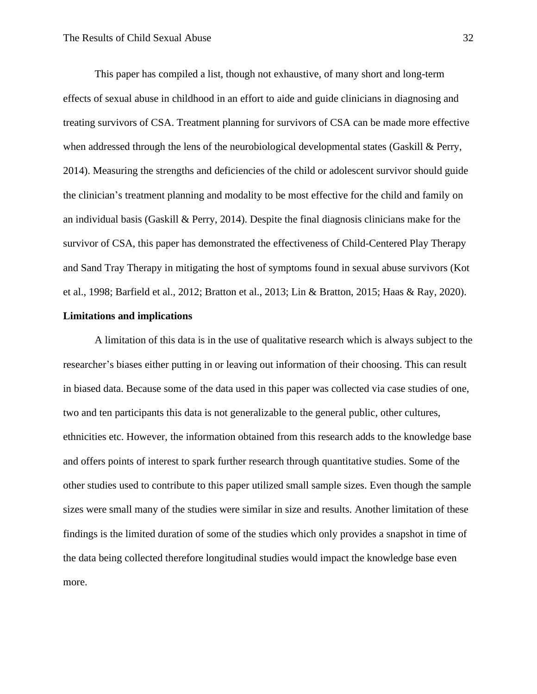This paper has compiled a list, though not exhaustive, of many short and long-term effects of sexual abuse in childhood in an effort to aide and guide clinicians in diagnosing and treating survivors of CSA. Treatment planning for survivors of CSA can be made more effective when addressed through the lens of the neurobiological developmental states (Gaskill & Perry, 2014). Measuring the strengths and deficiencies of the child or adolescent survivor should guide the clinician's treatment planning and modality to be most effective for the child and family on an individual basis (Gaskill & Perry, 2014). Despite the final diagnosis clinicians make for the survivor of CSA, this paper has demonstrated the effectiveness of Child-Centered Play Therapy and Sand Tray Therapy in mitigating the host of symptoms found in sexual abuse survivors (Kot et al., 1998; Barfield et al., 2012; Bratton et al., 2013; Lin & Bratton, 2015; Haas & Ray, 2020).

#### **Limitations and implications**

A limitation of this data is in the use of qualitative research which is always subject to the researcher's biases either putting in or leaving out information of their choosing. This can result in biased data. Because some of the data used in this paper was collected via case studies of one, two and ten participants this data is not generalizable to the general public, other cultures, ethnicities etc. However, the information obtained from this research adds to the knowledge base and offers points of interest to spark further research through quantitative studies. Some of the other studies used to contribute to this paper utilized small sample sizes. Even though the sample sizes were small many of the studies were similar in size and results. Another limitation of these findings is the limited duration of some of the studies which only provides a snapshot in time of the data being collected therefore longitudinal studies would impact the knowledge base even more.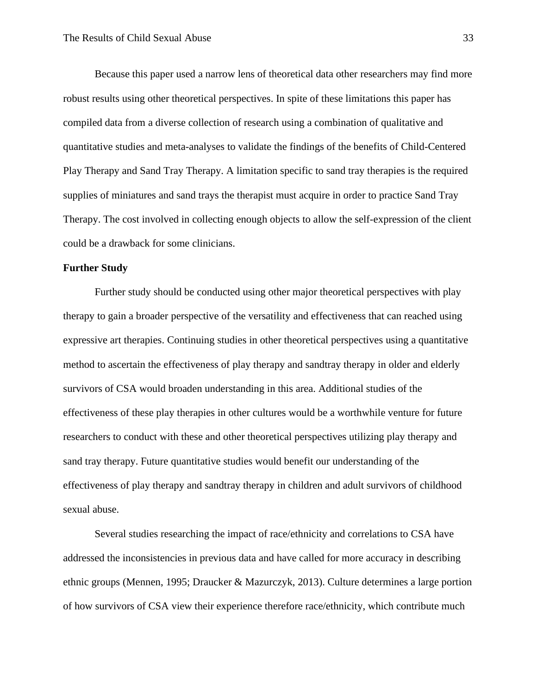Because this paper used a narrow lens of theoretical data other researchers may find more robust results using other theoretical perspectives. In spite of these limitations this paper has compiled data from a diverse collection of research using a combination of qualitative and quantitative studies and meta-analyses to validate the findings of the benefits of Child-Centered Play Therapy and Sand Tray Therapy. A limitation specific to sand tray therapies is the required supplies of miniatures and sand trays the therapist must acquire in order to practice Sand Tray Therapy. The cost involved in collecting enough objects to allow the self-expression of the client could be a drawback for some clinicians.

#### **Further Study**

Further study should be conducted using other major theoretical perspectives with play therapy to gain a broader perspective of the versatility and effectiveness that can reached using expressive art therapies. Continuing studies in other theoretical perspectives using a quantitative method to ascertain the effectiveness of play therapy and sandtray therapy in older and elderly survivors of CSA would broaden understanding in this area. Additional studies of the effectiveness of these play therapies in other cultures would be a worthwhile venture for future researchers to conduct with these and other theoretical perspectives utilizing play therapy and sand tray therapy. Future quantitative studies would benefit our understanding of the effectiveness of play therapy and sandtray therapy in children and adult survivors of childhood sexual abuse.

Several studies researching the impact of race/ethnicity and correlations to CSA have addressed the inconsistencies in previous data and have called for more accuracy in describing ethnic groups (Mennen, 1995; Draucker & Mazurczyk, 2013). Culture determines a large portion of how survivors of CSA view their experience therefore race/ethnicity, which contribute much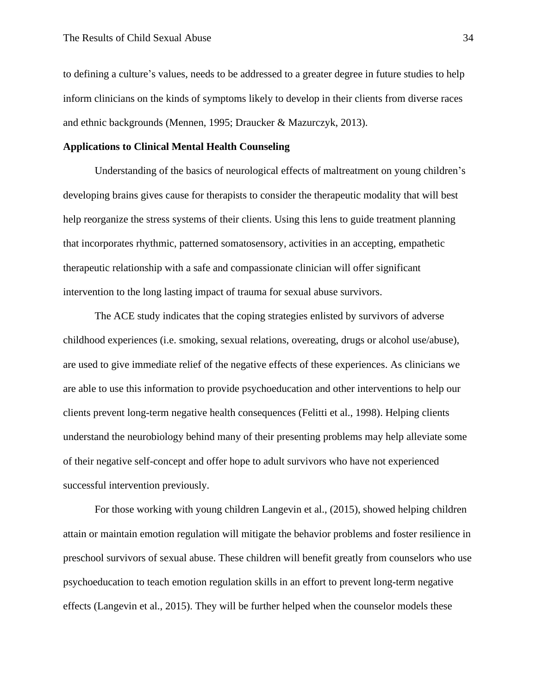to defining a culture's values, needs to be addressed to a greater degree in future studies to help inform clinicians on the kinds of symptoms likely to develop in their clients from diverse races and ethnic backgrounds (Mennen, 1995; Draucker & Mazurczyk, 2013).

## **Applications to Clinical Mental Health Counseling**

Understanding of the basics of neurological effects of maltreatment on young children's developing brains gives cause for therapists to consider the therapeutic modality that will best help reorganize the stress systems of their clients. Using this lens to guide treatment planning that incorporates rhythmic, patterned somatosensory, activities in an accepting, empathetic therapeutic relationship with a safe and compassionate clinician will offer significant intervention to the long lasting impact of trauma for sexual abuse survivors.

The ACE study indicates that the coping strategies enlisted by survivors of adverse childhood experiences (i.e. smoking, sexual relations, overeating, drugs or alcohol use/abuse), are used to give immediate relief of the negative effects of these experiences. As clinicians we are able to use this information to provide psychoeducation and other interventions to help our clients prevent long-term negative health consequences (Felitti et al., 1998). Helping clients understand the neurobiology behind many of their presenting problems may help alleviate some of their negative self-concept and offer hope to adult survivors who have not experienced successful intervention previously.

For those working with young children Langevin et al., (2015), showed helping children attain or maintain emotion regulation will mitigate the behavior problems and foster resilience in preschool survivors of sexual abuse. These children will benefit greatly from counselors who use psychoeducation to teach emotion regulation skills in an effort to prevent long-term negative effects (Langevin et al., 2015). They will be further helped when the counselor models these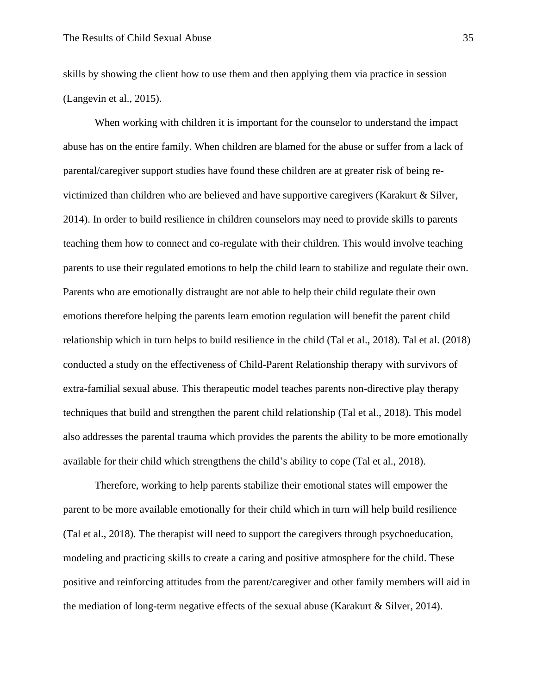skills by showing the client how to use them and then applying them via practice in session (Langevin et al., 2015).

When working with children it is important for the counselor to understand the impact abuse has on the entire family. When children are blamed for the abuse or suffer from a lack of parental/caregiver support studies have found these children are at greater risk of being revictimized than children who are believed and have supportive caregivers (Karakurt & Silver, 2014). In order to build resilience in children counselors may need to provide skills to parents teaching them how to connect and co-regulate with their children. This would involve teaching parents to use their regulated emotions to help the child learn to stabilize and regulate their own. Parents who are emotionally distraught are not able to help their child regulate their own emotions therefore helping the parents learn emotion regulation will benefit the parent child relationship which in turn helps to build resilience in the child (Tal et al., 2018). Tal et al. (2018) conducted a study on the effectiveness of Child-Parent Relationship therapy with survivors of extra-familial sexual abuse. This therapeutic model teaches parents non-directive play therapy techniques that build and strengthen the parent child relationship (Tal et al., 2018). This model also addresses the parental trauma which provides the parents the ability to be more emotionally available for their child which strengthens the child's ability to cope (Tal et al., 2018).

Therefore, working to help parents stabilize their emotional states will empower the parent to be more available emotionally for their child which in turn will help build resilience (Tal et al., 2018). The therapist will need to support the caregivers through psychoeducation, modeling and practicing skills to create a caring and positive atmosphere for the child. These positive and reinforcing attitudes from the parent/caregiver and other family members will aid in the mediation of long-term negative effects of the sexual abuse (Karakurt & Silver, 2014).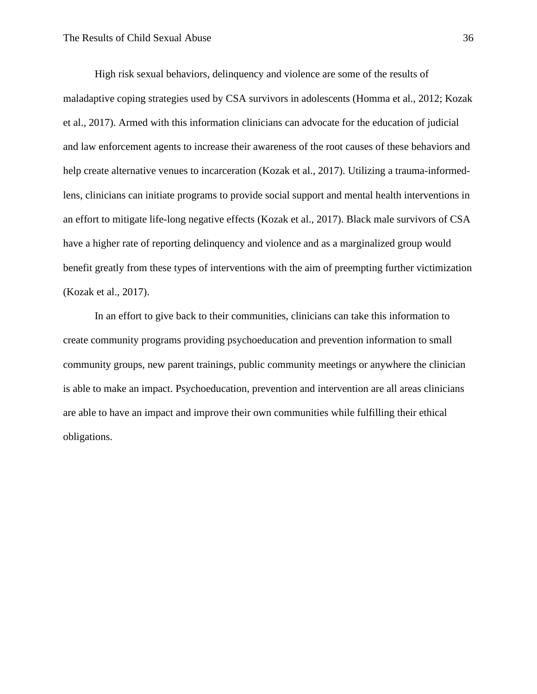High risk sexual behaviors, delinquency and violence are some of the results of maladaptive coping strategies used by CSA survivors in adolescents (Homma et al., 2012; Kozak et al., 2017). Armed with this information clinicians can advocate for the education of judicial and law enforcement agents to increase their awareness of the root causes of these behaviors and help create alternative venues to incarceration (Kozak et al., 2017). Utilizing a trauma-informedlens, clinicians can initiate programs to provide social support and mental health interventions in an effort to mitigate life-long negative effects (Kozak et al., 2017). Black male survivors of CSA have a higher rate of reporting delinquency and violence and as a marginalized group would benefit greatly from these types of interventions with the aim of preempting further victimization (Kozak et al., 2017).

In an effort to give back to their communities, clinicians can take this information to create community programs providing psychoeducation and prevention information to small community groups, new parent trainings, public community meetings or anywhere the clinician is able to make an impact. Psychoeducation, prevention and intervention are all areas clinicians are able to have an impact and improve their own communities while fulfilling their ethical obligations.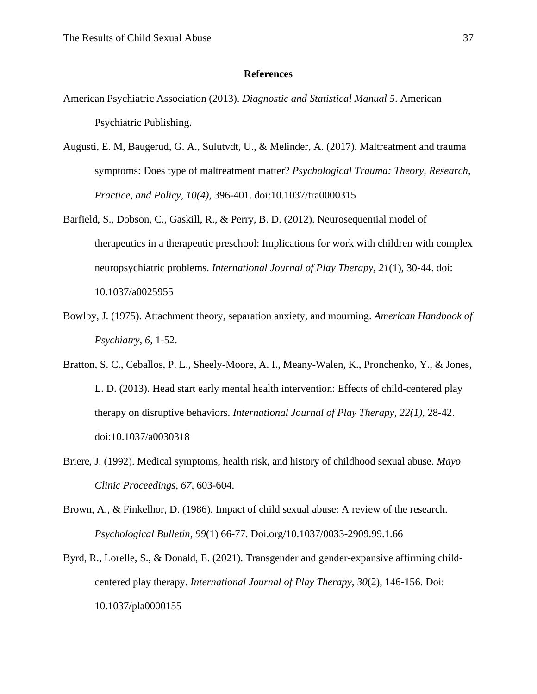#### **References**

- American Psychiatric Association (2013). *Diagnostic and Statistical Manual 5*. American Psychiatric Publishing.
- Augusti, E. M, Baugerud, G. A., Sulutvdt, U., & Melinder, A. (2017). Maltreatment and trauma symptoms: Does type of maltreatment matter? *Psychological Trauma: Theory, Research, Practice, and Policy, 10(4),* 396-401. doi:10.1037/tra0000315
- Barfield, S., Dobson, C., Gaskill, R., & Perry, B. D. (2012). Neurosequential model of therapeutics in a therapeutic preschool: Implications for work with children with complex neuropsychiatric problems. *International Journal of Play Therapy, 21*(1), 30-44. doi: 10.1037/a0025955
- Bowlby, J. (1975). Attachment theory, separation anxiety, and mourning. *American Handbook of Psychiatry, 6,* 1-52.
- Bratton, S. C., Ceballos, P. L., Sheely-Moore, A. I., Meany-Walen, K., Pronchenko, Y., & Jones, L. D. (2013). Head start early mental health intervention: Effects of child-centered play therapy on disruptive behaviors. *International Journal of Play Therapy, 22(1),* 28-42. doi:10.1037/a0030318
- Briere, J. (1992). Medical symptoms, health risk, and history of childhood sexual abuse. *Mayo Clinic Proceedings, 67,* 603-604.
- Brown, A., & Finkelhor, D. (1986). Impact of child sexual abuse: A review of the research. *Psychological Bulletin, 99*(1) 66-77. Doi.org/10.1037/0033-2909.99.1.66
- Byrd, R., Lorelle, S., & Donald, E. (2021). Transgender and gender-expansive affirming childcentered play therapy. *International Journal of Play Therapy, 30*(2), 146-156. Doi: 10.1037/pla0000155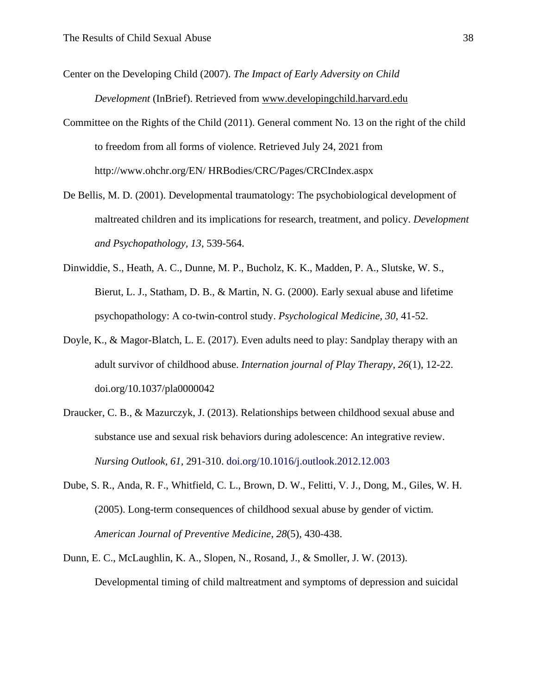Center on the Developing Child (2007). *The Impact of Early Adversity on Child* 

*Development* (InBrief). Retrieved from [www.developingchild.harvard.edu](https://developingchild.harvard.edu/)

- Committee on the Rights of the Child (2011). General comment No. 13 on the right of the child to freedom from all forms of violence. Retrieved July 24, 2021 from http://www.ohchr.org/EN/ HRBodies/CRC/Pages/CRCIndex.aspx
- De Bellis, M. D. (2001). Developmental traumatology: The psychobiological development of maltreated children and its implications for research, treatment, and policy. *Development and Psychopathology, 13*, 539-564.
- Dinwiddie, S., Heath, A. C., Dunne, M. P., Bucholz, K. K., Madden, P. A., Slutske, W. S., Bierut, L. J., Statham, D. B., & Martin, N. G. (2000). Early sexual abuse and lifetime psychopathology: A co-twin-control study. *Psychological Medicine, 30,* 41-52.
- Doyle, K., & Magor-Blatch, L. E. (2017). Even adults need to play: Sandplay therapy with an adult survivor of childhood abuse. *Internation journal of Play Therapy, 26*(1), 12-22. doi.org/10.1037/pla0000042
- Draucker, C. B., & Mazurczyk, J. (2013). Relationships between childhood sexual abuse and substance use and sexual risk behaviors during adolescence: An integrative review. *Nursing Outlook, 61,* 291-310. doi.org/10.1016/j.outlook.2012.12.003
- Dube, S. R., Anda, R. F., Whitfield, C. L., Brown, D. W., Felitti, V. J., Dong, M., Giles, W. H. (2005). Long-term consequences of childhood sexual abuse by gender of victim*. American Journal of Preventive Medicine, 28*(5), 430-438.
- Dunn, E. C., McLaughlin, K. A., Slopen, N., Rosand, J., & Smoller, J. W. (2013). Developmental timing of child maltreatment and symptoms of depression and suicidal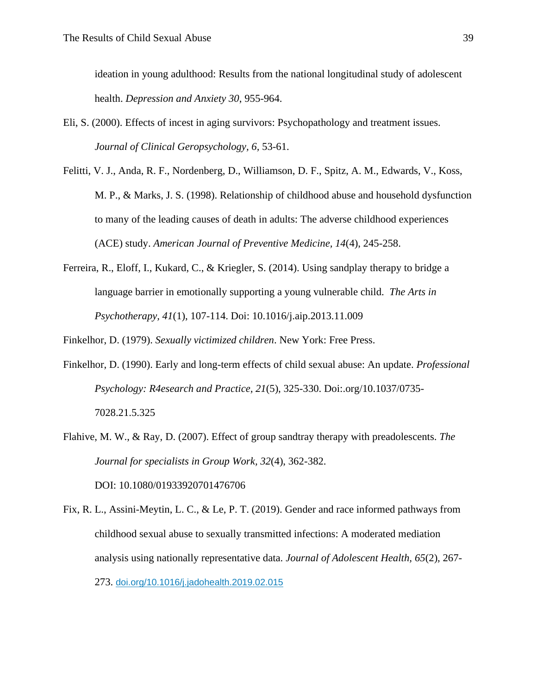ideation in young adulthood: Results from the national longitudinal study of adolescent health. *Depression and Anxiety 30*, 955-964.

- Eli, S. (2000). Effects of incest in aging survivors: Psychopathology and treatment issues. *Journal of Clinical Geropsychology, 6,* 53-61.
- Felitti, V. J., Anda, R. F., Nordenberg, D., Williamson, D. F., Spitz, A. M., Edwards, V., Koss, M. P., & Marks, J. S. (1998). Relationship of childhood abuse and household dysfunction to many of the leading causes of death in adults: The adverse childhood experiences (ACE) study. *American Journal of Preventive Medicine, 14*(4), 245-258.
- Ferreira, R., Eloff, I., Kukard, C., & Kriegler, S. (2014). Using sandplay therapy to bridge a language barrier in emotionally supporting a young vulnerable child. *The Arts in Psychotherapy, 41*(1), 107-114. Doi: 10.1016/j.aip.2013.11.009
- Finkelhor, D. (1979). *Sexually victimized children*. New York: Free Press.
- Finkelhor, D. (1990). Early and long-term effects of child sexual abuse: An update. *Professional Psychology: R4esearch and Practice, 21*(5), 325-330. Doi:.org/10.1037/0735- 7028.21.5.325
- Flahive, M. W., & Ray, D. (2007). Effect of group sandtray therapy with preadolescents. *The Journal for specialists in Group Work, 32*(4), 362-382. DOI: 10.1080/01933920701476706

Fix, R. L., Assini-Meytin, L. C., & Le, P. T. (2019). Gender and race informed pathways from childhood sexual abuse to sexually transmitted infections: A moderated mediation analysis using nationally representative data. *Journal of Adolescent Health, 65*(2)*,* 267- 273. [doi.org/10.1016/j.jadohealth.2019.02.015](https://doi-org.wsuproxy.mnpals.net/10.1016/j.jadohealth.2019.02.015)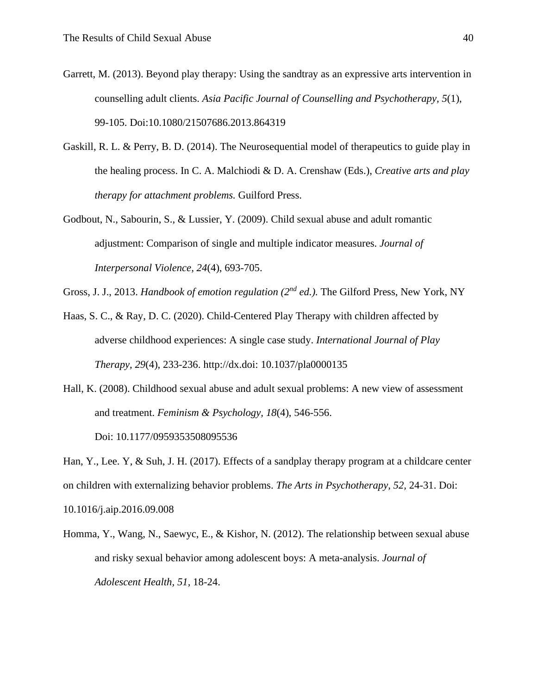- Garrett, M. (2013). Beyond play therapy: Using the sandtray as an expressive arts intervention in counselling adult clients. *Asia Pacific Journal of Counselling and Psychotherapy, 5*(1), 99-105. Doi:10.1080/21507686.2013.864319
- Gaskill, R. L. & Perry, B. D. (2014). The Neurosequential model of therapeutics to guide play in the healing process. In C. A. Malchiodi & D. A. Crenshaw (Eds.), *Creative arts and play therapy for attachment problems.* Guilford Press.
- Godbout, N., Sabourin, S., & Lussier, Y. (2009). Child sexual abuse and adult romantic adjustment: Comparison of single and multiple indicator measures. *Journal of Interpersonal Violence, 24*(4), 693-705.

Gross, J. J., 2013. *Handbook of emotion regulation (2nd ed.).* The Gilford Press, New York, NY

- Haas, S. C., & Ray, D. C. (2020). Child-Centered Play Therapy with children affected by adverse childhood experiences: A single case study. *International Journal of Play Therapy, 29*(4), 233-236. http://dx.doi: 10.1037/pla0000135
- Hall, K. (2008). Childhood sexual abuse and adult sexual problems: A new view of assessment and treatment. *Feminism & Psychology, 18*(4), 546-556.

Doi: 10.1177/0959353508095536

Han, Y., Lee. Y, & Suh, J. H. (2017). Effects of a sandplay therapy program at a childcare center on children with externalizing behavior problems. *The Arts in Psychotherapy, 52,* 24-31. Doi: 10.1016/j.aip.2016.09.008

Homma, Y., Wang, N., Saewyc, E., & Kishor, N. (2012). The relationship between sexual abuse and risky sexual behavior among adolescent boys: A meta-analysis. *Journal of Adolescent Health, 51,* 18-24.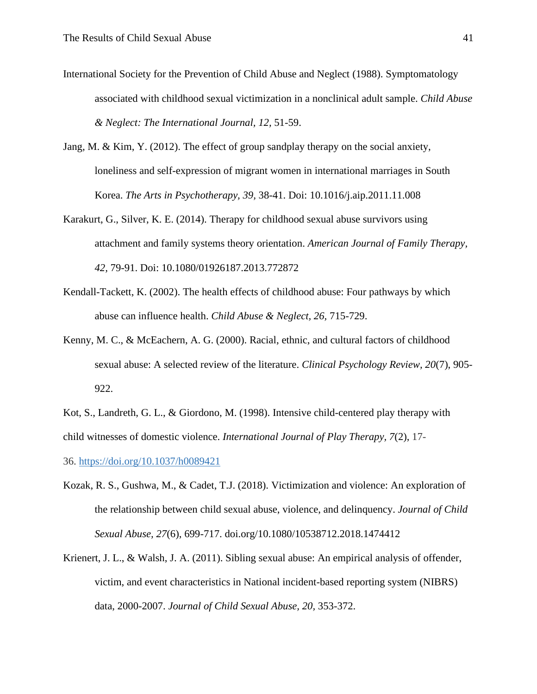- International Society for the Prevention of Child Abuse and Neglect (1988). Symptomatology associated with childhood sexual victimization in a nonclinical adult sample. *Child Abuse & Neglect: The International Journal, 12,* 51-59.
- Jang, M. & Kim, Y. (2012). The effect of group sandplay therapy on the social anxiety, loneliness and self-expression of migrant women in international marriages in South Korea. *The Arts in Psychotherapy, 39,* 38-41. Doi: 10.1016/j.aip.2011.11.008
- Karakurt, G., Silver, K. E. (2014). Therapy for childhood sexual abuse survivors using attachment and family systems theory orientation. *American Journal of Family Therapy, 42,* 79-91. Doi: 10.1080/01926187.2013.772872
- Kendall-Tackett, K. (2002). The health effects of childhood abuse: Four pathways by which abuse can influence health. *Child Abuse & Neglect, 26,* 715-729.
- Kenny, M. C., & McEachern, A. G. (2000). Racial, ethnic, and cultural factors of childhood sexual abuse: A selected review of the literature. *Clinical Psychology Review, 20*(7), 905- 922.

Kot, S., Landreth, G. L., & Giordono, M. (1998). Intensive child-centered play therapy with child witnesses of domestic violence. *International Journal of Play Therapy, 7*(2), 17-

36. [https://doi.org/10.1037/h0089421](https://psycnet.apa.org/doi/10.1037/h0089421)

- Kozak, R. S., Gushwa, M., & Cadet, T.J. (2018). Victimization and violence: An exploration of the relationship between child sexual abuse, violence, and delinquency. *Journal of Child Sexual Abuse, 27*(6), 699-717. doi.org/10.1080/10538712.2018.1474412
- Krienert, J. L., & Walsh, J. A. (2011). Sibling sexual abuse: An empirical analysis of offender, victim, and event characteristics in National incident-based reporting system (NIBRS) data, 2000-2007. *Journal of Child Sexual Abuse, 20,* 353-372.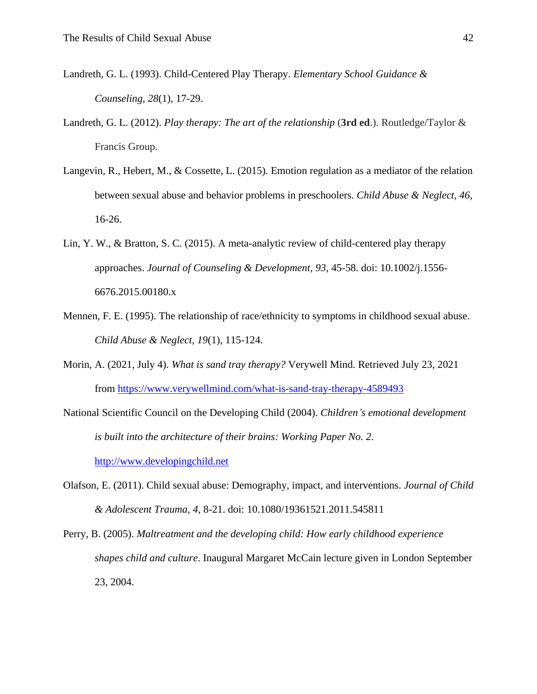- Landreth, G. L. (1993). Child-Centered Play Therapy. *Elementary School Guidance & Counseling, 28*(1), 17-29.
- Landreth, G. L. (2012). *Play therapy: The art of the relationship* (**3rd ed**.). Routledge/Taylor & Francis Group.
- Langevin, R., Hebert, M., & Cossette, L. (2015). Emotion regulation as a mediator of the relation between sexual abuse and behavior problems in preschoolers. *Child Abuse & Neglect, 46,* 16-26.
- Lin, Y. W., & Bratton, S. C. (2015). A meta-analytic review of child-centered play therapy approaches. *Journal of Counseling & Development, 93,* 45-58. doi: 10.1002/j.1556- 6676.2015.00180.x
- Mennen, F. E. (1995). The relationship of race/ethnicity to symptoms in childhood sexual abuse. *Child Abuse & Neglect, 19*(1), 115-124.
- Morin, A. (2021, July 4). *What is sand tray therapy?* Verywell Mind. Retrieved July 23, 2021 from<https://www.verywellmind.com/what-is-sand-tray-therapy-4589493>
- National Scientific Council on the Developing Child (2004). *Children's emotional development is built into the architecture of their brains: Working Paper No. 2*. [http://www.developingchild.net](http://www.developingchild.net/)
- Olafson, E. (2011). Child sexual abuse: Demography, impact, and interventions. *Journal of Child & Adolescent Trauma, 4*, 8-21. doi: 10.1080/19361521.2011.545811
- Perry, B. (2005). *Maltreatment and the developing child: How early childhood experience shapes child and culture*. Inaugural Margaret McCain lecture given in London September 23, 2004.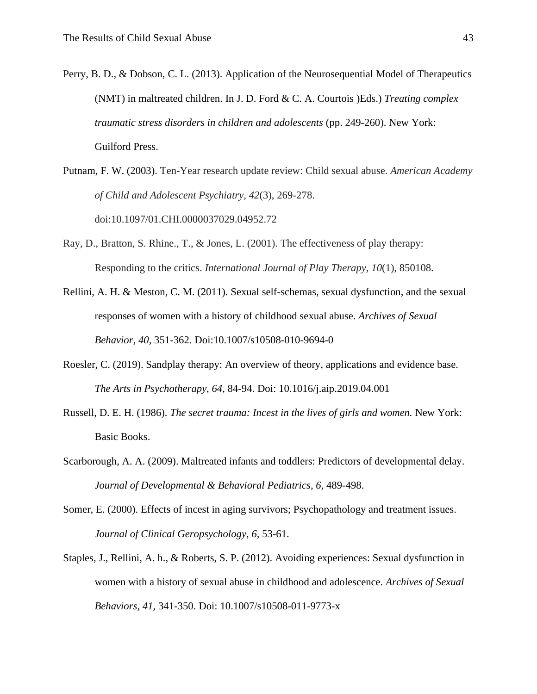- Perry, B. D., & Dobson, C. L. (2013). Application of the Neurosequential Model of Therapeutics (NMT) in maltreated children. In J. D. Ford & C. A. Courtois )Eds.) *Treating complex traumatic stress disorders in children and adolescents* (pp. 249-260). New York: Guilford Press.
- Putnam, F. W. (2003). Ten-Year research update review: Child sexual abuse. *American Academy of Child and Adolescent Psychiatry*, *42*(3), 269-278. doi:10.1097/01.CHI.0000037029.04952.72
- Ray, D., Bratton, S. Rhine., T., & Jones, L. (2001). The effectiveness of play therapy: Responding to the critics. *International Journal of Play Therapy, 10*(1), 850108.
- Rellini, A. H. & Meston, C. M. (2011). Sexual self-schemas, sexual dysfunction, and the sexual responses of women with a history of childhood sexual abuse. *Archives of Sexual Behavior, 40*, 351-362. Doi:10.1007/s10508-010-9694-0
- Roesler, C. (2019). Sandplay therapy: An overview of theory, applications and evidence base. *The Arts in Psychotherapy, 64*, 84-94. Doi: 10.1016/j.aip.2019.04.001
- Russell, D. E. H. (1986). *The secret trauma: Incest in the lives of girls and women.* New York: Basic Books.
- Scarborough, A. A. (2009). Maltreated infants and toddlers: Predictors of developmental delay. *Journal of Developmental & Behavioral Pediatrics, 6,* 489-498.
- Somer, E. (2000). Effects of incest in aging survivors; Psychopathology and treatment issues. *Journal of Clinical Geropsychology, 6,* 53-61.
- Staples, J., Rellini, A. h., & Roberts, S. P. (2012). Avoiding experiences: Sexual dysfunction in women with a history of sexual abuse in childhood and adolescence. *Archives of Sexual Behaviors, 41,* 341-350. Doi: 10.1007/s10508-011-9773-x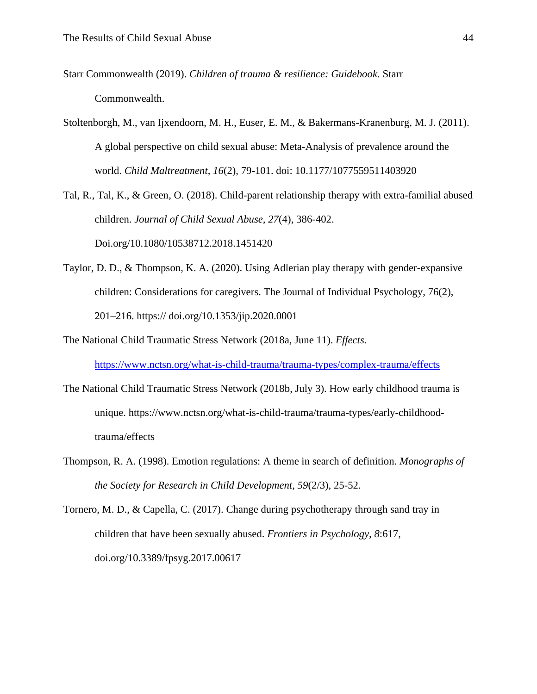- Starr Commonwealth (2019). *Children of trauma & resilience: Guidebook.* Starr Commonwealth.
- Stoltenborgh, M., van Ijxendoorn, M. H., Euser, E. M., & Bakermans-Kranenburg, M. J. (2011). A global perspective on child sexual abuse: Meta-Analysis of prevalence around the world. *Child Maltreatment, 16*(2), 79-101. doi: 10.1177/1077559511403920
- Tal, R., Tal, K., & Green, O. (2018). Child-parent relationship therapy with extra-familial abused children. *Journal of Child Sexual Abuse, 27*(4), 386-402. Doi.org/10.1080/10538712.2018.1451420
- Taylor, D. D., & Thompson, K. A. (2020). Using Adlerian play therapy with gender-expansive children: Considerations for caregivers. The Journal of Individual Psychology, 76(2), 201–216. https:// doi.org/10.1353/jip.2020.0001
- The National Child Traumatic Stress Network (2018a, June 11). *Effects.*

<https://www.nctsn.org/what-is-child-trauma/trauma-types/complex-trauma/effects>

- The National Child Traumatic Stress Network (2018b, July 3). How early childhood trauma is unique. https://www.nctsn.org/what-is-child-trauma/trauma-types/early-childhoodtrauma/effects
- Thompson, R. A. (1998). Emotion regulations: A theme in search of definition. *Monographs of the Society for Research in Child Development*, *59*(2/3), 25-52.

Tornero, M. D., & Capella, C. (2017). Change during psychotherapy through sand tray in children that have been sexually abused. *Frontiers in Psychology, 8*:617, [doi.org/10.3389/fpsyg.2017.00617](https://doi.org/10.3389/fpsyg.2017.00617)